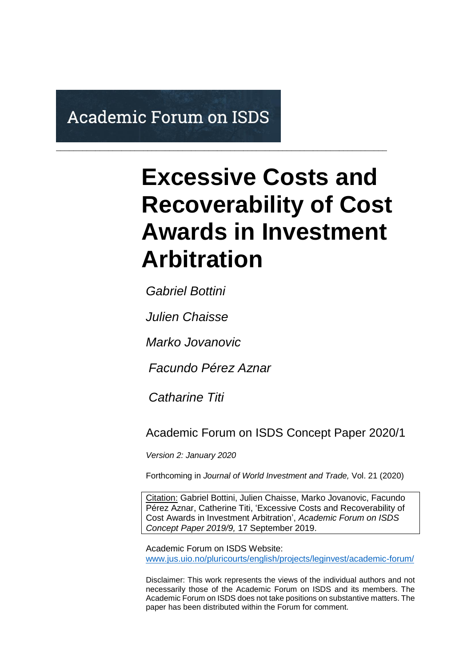# **Academic Forum on ISDS**

# **Excessive Costs and Recoverability of Cost Awards in Investment Arbitration**

*Gabriel Bottini*

*Julien Chaisse*

*Marko Jovanovic*

 *Facundo Pérez Aznar*

\_\_\_\_\_\_\_\_\_\_\_\_\_\_\_\_\_\_\_\_\_\_\_\_\_\_\_\_\_\_\_\_\_\_\_\_\_\_\_\_\_\_\_\_\_\_\_\_\_\_\_\_\_\_\_\_\_\_\_\_\_\_\_\_\_\_\_\_\_\_\_\_\_\_\_\_

 *Catharine Titi*

Academic Forum on ISDS Concept Paper 2020/1

*Version 2: January 2020*

Forthcoming in *Journal of World Investment and Trade,* Vol. 21 (2020)

Citation: Gabriel Bottini, Julien Chaisse, Marko Jovanovic, Facundo Pérez Aznar, Catherine Titi, 'Excessive Costs and Recoverability of Cost Awards in Investment Arbitration', *Academic Forum on ISDS Concept Paper 2019/9,* 17 September 2019.

Academic Forum on ISDS Website: [www.jus.uio.no/pluricourts/english/projects/leginvest/academic-forum/](http://www.jus.uio.no/pluricourts/english/projects/leginvest/academic-forum/)

Disclaimer: This work represents the views of the individual authors and not necessarily those of the Academic Forum on ISDS and its members. The Academic Forum on ISDS does not take positions on substantive matters. The paper has been distributed within the Forum for comment.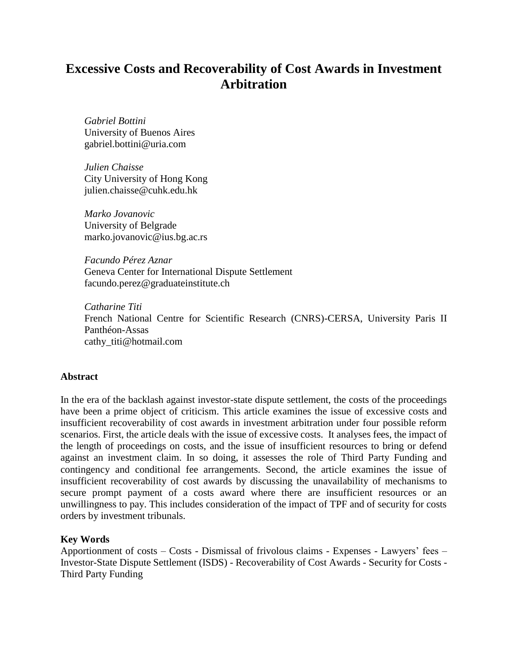# **Excessive Costs and Recoverability of Cost Awards in Investment Arbitration**

*Gabriel Bottini* University of Buenos Aires gabriel.bottini@uria.com

*Julien Chaisse* City University of Hong Kong julien.chaisse@cuhk.edu.hk

*Marko Jovanovic* University of Belgrade marko.jovanovic@ius.bg.ac.rs

*Facundo Pérez Aznar* Geneva Center for International Dispute Settlement facundo.perez@graduateinstitute.ch

*Catharine Titi* French National Centre for Scientific Research (CNRS)-CERSA, University Paris II Panthéon-Assas cathy\_titi@hotmail.com

#### **Abstract**

In the era of the backlash against investor-state dispute settlement, the costs of the proceedings have been a prime object of criticism. This article examines the issue of excessive costs and insufficient recoverability of cost awards in investment arbitration under four possible reform scenarios. First, the article deals with the issue of excessive costs. It analyses fees, the impact of the length of proceedings on costs, and the issue of insufficient resources to bring or defend against an investment claim. In so doing, it assesses the role of Third Party Funding and contingency and conditional fee arrangements. Second, the article examines the issue of insufficient recoverability of cost awards by discussing the unavailability of mechanisms to secure prompt payment of a costs award where there are insufficient resources or an unwillingness to pay. This includes consideration of the impact of TPF and of security for costs orders by investment tribunals.

#### **Key Words**

Apportionment of costs – Costs - Dismissal of frivolous claims - Expenses - Lawyers' fees – Investor-State Dispute Settlement (ISDS) - Recoverability of Cost Awards - Security for Costs - Third Party Funding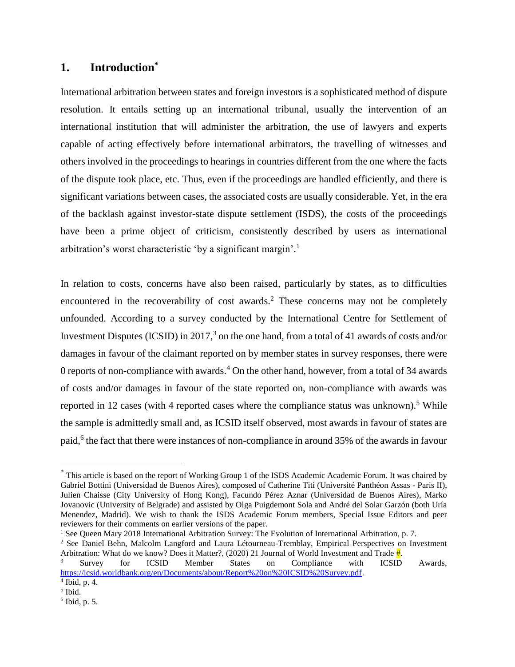# **1. Introduction\***

International arbitration between states and foreign investors is a sophisticated method of dispute resolution. It entails setting up an international tribunal, usually the intervention of an international institution that will administer the arbitration, the use of lawyers and experts capable of acting effectively before international arbitrators, the travelling of witnesses and others involved in the proceedings to hearings in countries different from the one where the facts of the dispute took place, etc. Thus, even if the proceedings are handled efficiently, and there is significant variations between cases, the associated costs are usually considerable. Yet, in the era of the backlash against investor-state dispute settlement (ISDS), the costs of the proceedings have been a prime object of criticism, consistently described by users as international arbitration's worst characteristic 'by a significant margin'.<sup>1</sup>

In relation to costs, concerns have also been raised, particularly by states, as to difficulties encountered in the recoverability of cost awards.<sup>2</sup> These concerns may not be completely unfounded. According to a survey conducted by the International Centre for Settlement of Investment Disputes (ICSID) in 2017,<sup>3</sup> on the one hand, from a total of 41 awards of costs and/or damages in favour of the claimant reported on by member states in survey responses, there were 0 reports of non-compliance with awards.<sup>4</sup> On the other hand, however, from a total of 34 awards of costs and/or damages in favour of the state reported on, non-compliance with awards was reported in 12 cases (with 4 reported cases where the compliance status was unknown).<sup>5</sup> While the sample is admittedly small and, as ICSID itself observed, most awards in favour of states are paid,<sup>6</sup> the fact that there were instances of non-compliance in around 35% of the awards in favour

<sup>\*</sup> This article is based on the report of Working Group 1 of the ISDS Academic Academic Forum. It was chaired by Gabriel Bottini (Universidad de Buenos Aires), composed of Catherine Titi (Université Panthéon Assas - Paris II), Julien Chaisse (City University of Hong Kong), Facundo Pérez Aznar (Universidad de Buenos Aires), Marko Jovanovic (University of Belgrade) and assisted by Olga Puigdemont Sola and André del Solar Garzón (both Uría Menendez, Madrid). We wish to thank the ISDS Academic Forum members, Special Issue Editors and peer reviewers for their comments on earlier versions of the paper.

<sup>&</sup>lt;sup>1</sup> See Queen Mary 2018 International Arbitration Survey: The Evolution of International Arbitration, p. 7.

<sup>2</sup> See Daniel Behn, Malcolm Langford and Laura Létourneau-Tremblay, Empirical Perspectives on Investment Arbitration: What do we know? Does it Matter?, (2020) 21 Journal of World Investment and Trade  $\frac{4}{1}$ .

Survey for ICSID Member States on Compliance with ICSID Awards, [https://icsid.worldbank.org/en/Documents/about/Report%20on%20ICSID%20Survey.pdf.](https://icsid.worldbank.org/en/Documents/about/Report%20on%20ICSID%20Survey.pdf) 4 Ibid, p. 4.

<sup>5</sup> Ibid.

<sup>6</sup> Ibid, p. 5.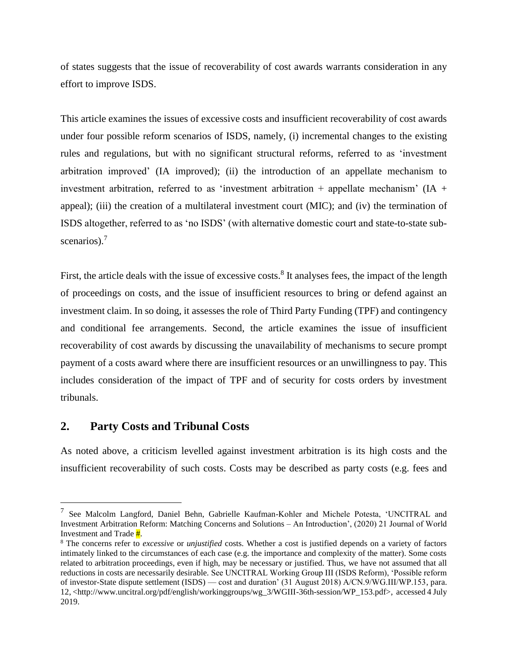of states suggests that the issue of recoverability of cost awards warrants consideration in any effort to improve ISDS.

This article examines the issues of excessive costs and insufficient recoverability of cost awards under four possible reform scenarios of ISDS, namely, (i) incremental changes to the existing rules and regulations, but with no significant structural reforms, referred to as 'investment arbitration improved' (IA improved); (ii) the introduction of an appellate mechanism to investment arbitration, referred to as 'investment arbitration  $+$  appellate mechanism' (IA  $+$ appeal); (iii) the creation of a multilateral investment court (MIC); and (iv) the termination of ISDS altogether, referred to as 'no ISDS' (with alternative domestic court and state-to-state subscenarios).<sup>7</sup>

<span id="page-3-0"></span>First, the article deals with the issue of excessive costs.<sup>8</sup> It analyses fees, the impact of the length of proceedings on costs, and the issue of insufficient resources to bring or defend against an investment claim. In so doing, it assesses the role of Third Party Funding (TPF) and contingency and conditional fee arrangements. Second, the article examines the issue of insufficient recoverability of cost awards by discussing the unavailability of mechanisms to secure prompt payment of a costs award where there are insufficient resources or an unwillingness to pay. This includes consideration of the impact of TPF and of security for costs orders by investment tribunals.

# **2. Party Costs and Tribunal Costs**

 $\overline{a}$ 

As noted above, a criticism levelled against investment arbitration is its high costs and the insufficient recoverability of such costs. Costs may be described as party costs (e.g. fees and

<sup>&</sup>lt;sup>7</sup> See Malcolm Langford, Daniel Behn, Gabrielle Kaufman-Kohler and Michele Potesta, 'UNCITRAL and Investment Arbitration Reform: Matching Concerns and Solutions – An Introduction', (2020) 21 Journal of World Investment and Trade #.

<sup>8</sup> The concerns refer to *excessive* or *unjustified* costs. Whether a cost is justified depends on a variety of factors intimately linked to the circumstances of each case (e.g. the importance and complexity of the matter). Some costs related to arbitration proceedings, even if high, may be necessary or justified. Thus, we have not assumed that all reductions in costs are necessarily desirable. See UNCITRAL Working Group III (ISDS Reform), 'Possible reform of investor-State dispute settlement (ISDS) — cost and duration' (31 August 2018) A/CN.9/WG.III/WP.153, para. 12, <http://www.uncitral.org/pdf/english/workinggroups/wg\_3/WGIII-36th-session/WP\_153.pdf>, accessed 4 July 2019.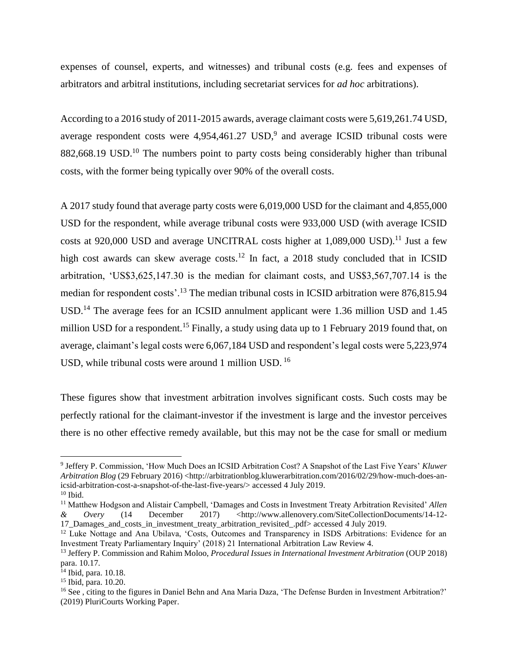expenses of counsel, experts, and witnesses) and tribunal costs (e.g. fees and expenses of arbitrators and arbitral institutions, including secretariat services for *ad hoc* arbitrations).

According to a 2016 study of 2011-2015 awards, average claimant costs were 5,619,261.74 USD, average respondent costs were  $4,954,461.27$  USD,<sup>9</sup> and average ICSID tribunal costs were 882,668.19 USD.<sup>10</sup> The numbers point to party costs being considerably higher than tribunal costs, with the former being typically over 90% of the overall costs.

<span id="page-4-0"></span>A 2017 study found that average party costs were 6,019,000 USD for the claimant and 4,855,000 USD for the respondent, while average tribunal costs were 933,000 USD (with average ICSID costs at 920,000 USD and average UNCITRAL costs higher at  $1,089,000$  USD).<sup>11</sup> Just a few high cost awards can skew average costs.<sup>12</sup> In fact, a 2018 study concluded that in ICSID arbitration, 'US\$3,625,147.30 is the median for claimant costs, and US\$3,567,707.14 is the median for respondent costs'.<sup>13</sup> The median tribunal costs in ICSID arbitration were 876,815.94 USD.<sup>14</sup> The average fees for an ICSID annulment applicant were 1.36 million USD and 1.45 million USD for a respondent.<sup>15</sup> Finally, a study using data up to 1 February 2019 found that, on average, claimant's legal costs were 6,067,184 USD and respondent's legal costs were 5,223,974 USD, while tribunal costs were around 1 million USD. <sup>16</sup>

These figures show that investment arbitration involves significant costs. Such costs may be perfectly rational for the claimant-investor if the investment is large and the investor perceives there is no other effective remedy available, but this may not be the case for small or medium

<sup>9</sup> Jeffery P. Commission, 'How Much Does an ICSID Arbitration Cost? A Snapshot of the Last Five Years' *Kluwer Arbitration Blog* (29 February 2016) <http://arbitrationblog.kluwerarbitration.com/2016/02/29/how-much-does-anicsid-arbitration-cost-a-snapshot-of-the-last-five-years/> accessed 4 July 2019.

 $10$  Ibid.

<sup>11</sup> Matthew Hodgson and Alistair Campbell, 'Damages and Costs in Investment Treaty Arbitration Revisited' *Allen & Overy* (14 December 2017) <http://www.allenovery.com/SiteCollectionDocuments/14-12- 17\_Damages\_and\_costs\_in\_investment\_treaty\_arbitration\_revisited\_.pdf> accessed 4 July 2019.

<sup>&</sup>lt;sup>12</sup> Luke Nottage and Ana Ubilava, 'Costs, Outcomes and Transparency in ISDS Arbitrations: Evidence for an Investment Treaty Parliamentary Inquiry' (2018) 21 International Arbitration Law Review 4.

<sup>13</sup> Jeffery P. Commission and Rahim Moloo, *Procedural Issues in International Investment Arbitration* (OUP 2018) para. 10.17.

 $14$  Ibid, para. 10.18.

<sup>15</sup> Ibid, para. 10.20.

<sup>16</sup> See , citing to the figures in Daniel Behn and Ana Maria Daza, 'The Defense Burden in Investment Arbitration?' (2019) PluriCourts Working Paper.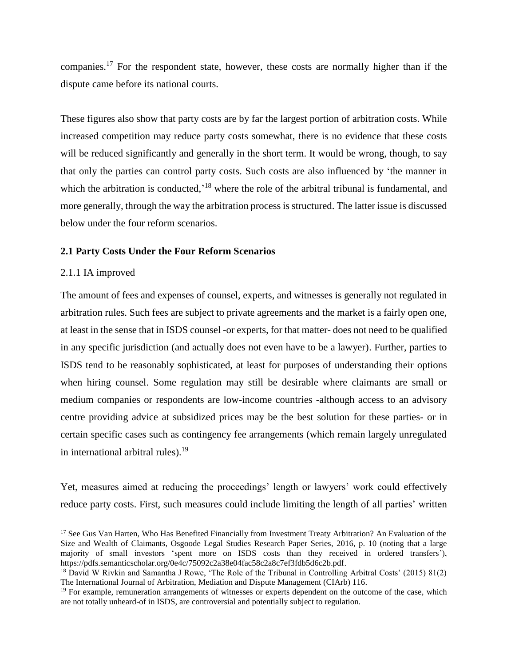companies.<sup>17</sup> For the respondent state, however, these costs are normally higher than if the dispute came before its national courts.

These figures also show that party costs are by far the largest portion of arbitration costs. While increased competition may reduce party costs somewhat, there is no evidence that these costs will be reduced significantly and generally in the short term. It would be wrong, though, to say that only the parties can control party costs. Such costs are also influenced by 'the manner in which the arbitration is conducted,<sup>18</sup> where the role of the arbitral tribunal is fundamental, and more generally, through the way the arbitration process is structured. The latter issue is discussed below under the four reform scenarios.

#### <span id="page-5-0"></span>**2.1 Party Costs Under the Four Reform Scenarios**

#### 2.1.1 IA improved

 $\overline{a}$ 

The amount of fees and expenses of counsel, experts, and witnesses is generally not regulated in arbitration rules. Such fees are subject to private agreements and the market is a fairly open one, at least in the sense that in ISDS counsel -or experts, for that matter- does not need to be qualified in any specific jurisdiction (and actually does not even have to be a lawyer). Further, parties to ISDS tend to be reasonably sophisticated, at least for purposes of understanding their options when hiring counsel. Some regulation may still be desirable where claimants are small or medium companies or respondents are low-income countries -although access to an advisory centre providing advice at subsidized prices may be the best solution for these parties- or in certain specific cases such as contingency fee arrangements (which remain largely unregulated in international arbitral rules). $^{19}$ 

Yet, measures aimed at reducing the proceedings' length or lawyers' work could effectively reduce party costs. First, such measures could include limiting the length of all parties' written

<sup>&</sup>lt;sup>17</sup> See Gus Van Harten, Who Has Benefited Financially from Investment Treaty Arbitration? An Evaluation of the Size and Wealth of Claimants, Osgoode Legal Studies Research Paper Series, 2016, p. 10 (noting that a large majority of small investors 'spent more on ISDS costs than they received in ordered transfers'), https://pdfs.semanticscholar.org/0e4c/75092c2a38e04fac58c2a8c7ef3fdb5d6c2b.pdf.

<sup>18</sup> David W Rivkin and Samantha J Rowe, 'The Role of the Tribunal in Controlling Arbitral Costs' (2015) 81(2) The International Journal of Arbitration, Mediation and Dispute Management (CIArb) 116.

<sup>&</sup>lt;sup>19</sup> For example, remuneration arrangements of witnesses or experts dependent on the outcome of the case, which are not totally unheard-of in ISDS, are controversial and potentially subject to regulation.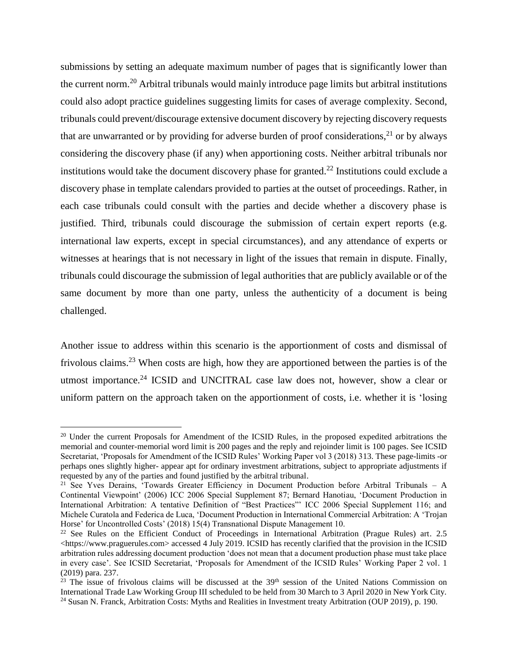<span id="page-6-3"></span><span id="page-6-2"></span><span id="page-6-1"></span>submissions by setting an adequate maximum number of pages that is significantly lower than the current norm.<sup>20</sup> Arbitral tribunals would mainly introduce page limits but arbitral institutions could also adopt practice guidelines suggesting limits for cases of average complexity. Second, tribunals could prevent/discourage extensive document discovery by rejecting discovery requests that are unwarranted or by providing for adverse burden of proof considerations,<sup>21</sup> or by always considering the discovery phase (if any) when apportioning costs. Neither arbitral tribunals nor institutions would take the document discovery phase for granted. <sup>22</sup> Institutions could exclude a discovery phase in template calendars provided to parties at the outset of proceedings. Rather, in each case tribunals could consult with the parties and decide whether a discovery phase is justified. Third, tribunals could discourage the submission of certain expert reports (e.g. international law experts, except in special circumstances), and any attendance of experts or witnesses at hearings that is not necessary in light of the issues that remain in dispute. Finally, tribunals could discourage the submission of legal authorities that are publicly available or of the same document by more than one party, unless the authenticity of a document is being challenged.

<span id="page-6-0"></span>Another issue to address within this scenario is the apportionment of costs and dismissal of frivolous claims.<sup>23</sup> When costs are high, how they are apportioned between the parties is of the utmost importance.<sup>24</sup> ICSID and UNCITRAL case law does not, however, show a clear or uniform pattern on the approach taken on the apportionment of costs, i.e. whether it is 'losing

<sup>&</sup>lt;sup>20</sup> Under the current Proposals for Amendment of the ICSID Rules, in the proposed expedited arbitrations the memorial and counter-memorial word limit is 200 pages and the reply and rejoinder limit is 100 pages. See ICSID Secretariat, 'Proposals for Amendment of the ICSID Rules' Working Paper vol 3 (2018) 313. These page-limits -or perhaps ones slightly higher- appear apt for ordinary investment arbitrations, subject to appropriate adjustments if requested by any of the parties and found justified by the arbitral tribunal.

<sup>21</sup> See Yves Derains, 'Towards Greater Efficiency in Document Production before Arbitral Tribunals – A Continental Viewpoint' (2006) ICC 2006 Special Supplement 87; Bernard Hanotiau, 'Document Production in International Arbitration: A tentative Definition of "Best Practices"' ICC 2006 Special Supplement 116; and Michele Curatola and Federica de Luca, 'Document Production in International Commercial Arbitration: A 'Trojan Horse' for Uncontrolled Costs' (2018) 15(4) Transnational Dispute Management 10.

<sup>&</sup>lt;sup>22</sup> See Rules on the Efficient Conduct of Proceedings in International Arbitration (Prague Rules) art. 2.5 <https://www.praguerules.com> accessed 4 July 2019. ICSID has recently clarified that the provision in the ICSID arbitration rules addressing document production 'does not mean that a document production phase must take place in every case'. See ICSID Secretariat, 'Proposals for Amendment of the ICSID Rules' Working Paper 2 vol. 1 (2019) para. 237.

 $^{23}$  The issue of frivolous claims will be discussed at the  $39<sup>th</sup>$  session of the United Nations Commission on International Trade Law Working Group III scheduled to be held from 30 March to 3 April 2020 in New York City. <sup>24</sup> Susan N. Franck, Arbitration Costs: Myths and Realities in Investment treaty Arbitration (OUP 2019), p. 190.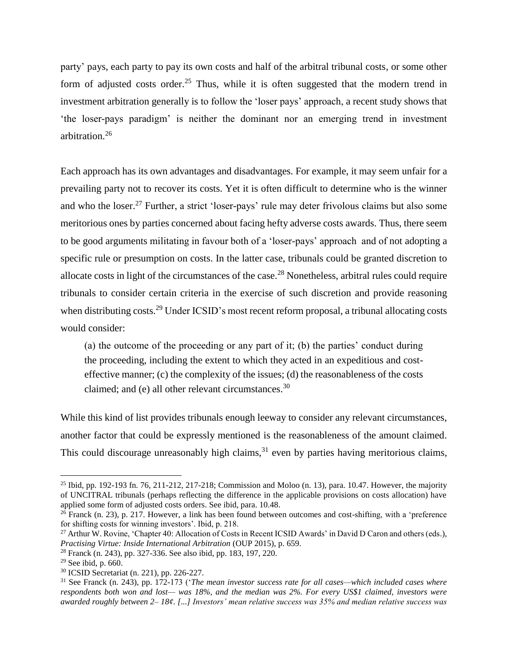party' pays, each party to pay its own costs and half of the arbitral tribunal costs, or some other form of adjusted costs order.<sup>25</sup> Thus, while it is often suggested that the modern trend in investment arbitration generally is to follow the 'loser pays' approach, a recent study shows that 'the loser-pays paradigm' is neither the dominant nor an emerging trend in investment arbitration.<sup>26</sup>

Each approach has its own advantages and disadvantages. For example, it may seem unfair for a prevailing party not to recover its costs. Yet it is often difficult to determine who is the winner and who the loser.<sup>27</sup> Further, a strict 'loser-pays' rule may deter frivolous claims but also some meritorious ones by parties concerned about facing hefty adverse costs awards. Thus, there seem to be good arguments militating in favour both of a 'loser-pays' approach and of not adopting a specific rule or presumption on costs. In the latter case, tribunals could be granted discretion to allocate costs in light of the circumstances of the case.<sup>28</sup> Nonetheless, arbitral rules could require tribunals to consider certain criteria in the exercise of such discretion and provide reasoning when distributing costs.<sup>29</sup> Under ICSID's most recent reform proposal, a tribunal allocating costs would consider:

(a) the outcome of the proceeding or any part of it; (b) the parties' conduct during the proceeding, including the extent to which they acted in an expeditious and costeffective manner; (c) the complexity of the issues; (d) the reasonableness of the costs claimed; and (e) all other relevant circumstances.<sup>30</sup>

While this kind of list provides tribunals enough leeway to consider any relevant circumstances, another factor that could be expressly mentioned is the reasonableness of the amount claimed. This could discourage unreasonably high claims,  $31$  even by parties having meritorious claims,

<sup>&</sup>lt;sup>25</sup> Ibid, pp. 192-193 fn. 76, 211-212, 217-218; Commission and Moloo (n. [13\)](#page-4-0), para. 10.47. However, the majority of UNCITRAL tribunals (perhaps reflecting the difference in the applicable provisions on costs allocation) have applied some form of adjusted costs orders. See ibid, para. 10.48.

 $26$  Franck (n. 23), p. 217. However, a link has been found between outcomes and cost-shifting, with a 'preference for shifting costs for winning investors'. Ibid, p. 218.

<sup>&</sup>lt;sup>27</sup> Arthur W. Rovine, 'Chapter 40: Allocation of Costs in Recent ICSID Awards' in David D Caron and others (eds.), *Practising Virtue: Inside International Arbitration* (OUP 2015), p. 659.

<sup>28</sup> Franck (n. [243](#page-6-0)), pp. 327-336. See also ibid, pp. 183, 197, 220.

 $29$  See ibid, p. 660.

<sup>30</sup> ICSID Secretariat (n. [221](#page-6-1)), pp. 226-227.

<sup>31</sup> See Franck (n. [243](#page-6-0)), pp. 172-173 ('*The mean investor success rate for all cases—which included cases where respondents both won and lost— was 18%, and the median was 2%. For every US\$1 claimed, investors were awarded roughly between 2– 18¢. [...] Investors' mean relative success was 35% and median relative success was*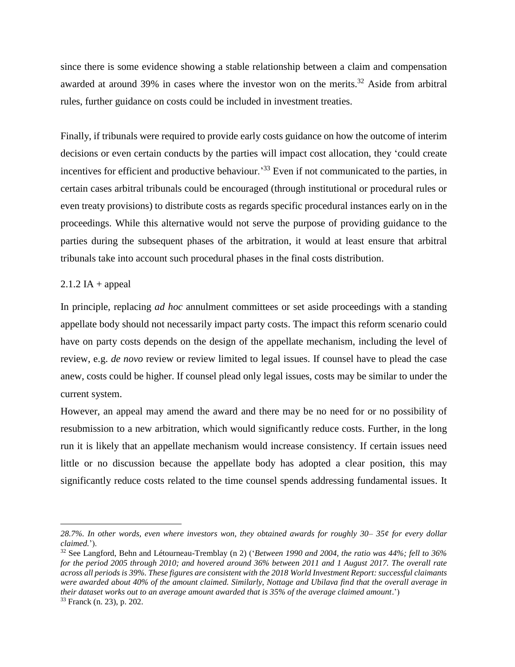since there is some evidence showing a stable relationship between a claim and compensation awarded at around 39% in cases where the investor won on the merits.<sup>32</sup> Aside from arbitral rules, further guidance on costs could be included in investment treaties.

Finally, if tribunals were required to provide early costs guidance on how the outcome of interim decisions or even certain conducts by the parties will impact cost allocation, they 'could create incentives for efficient and productive behaviour.<sup>33</sup> Even if not communicated to the parties, in certain cases arbitral tribunals could be encouraged (through institutional or procedural rules or even treaty provisions) to distribute costs as regards specific procedural instances early on in the proceedings. While this alternative would not serve the purpose of providing guidance to the parties during the subsequent phases of the arbitration, it would at least ensure that arbitral tribunals take into account such procedural phases in the final costs distribution.

#### $2.1.2$  IA + appeal

In principle, replacing *ad hoc* annulment committees or set aside proceedings with a standing appellate body should not necessarily impact party costs. The impact this reform scenario could have on party costs depends on the design of the appellate mechanism, including the level of review, e.g. *de novo* review or review limited to legal issues. If counsel have to plead the case anew, costs could be higher. If counsel plead only legal issues, costs may be similar to under the current system.

However, an appeal may amend the award and there may be no need for or no possibility of resubmission to a new arbitration, which would significantly reduce costs. Further, in the long run it is likely that an appellate mechanism would increase consistency. If certain issues need little or no discussion because the appellate body has adopted a clear position, this may significantly reduce costs related to the time counsel spends addressing fundamental issues. It

*<sup>28.7%.</sup> In other words, even where investors won, they obtained awards for roughly 30– 35¢ for every dollar claimed.*').

<sup>32</sup> See Langford, Behn and Létourneau-Tremblay (n 2) ('*Between 1990 and 2004, the ratio was 44%; fell to 36% for the period 2005 through 2010; and hovered around 36% between 2011 and 1 August 2017. The overall rate across all periods is 39%. These figures are consistent with the 2018 World Investment Report: successful claimants were awarded about 40% of the amount claimed. Similarly, Nottage and Ubilava find that the overall average in their dataset works out to an average amount awarded that is 35% of the average claimed amount*.')

<sup>33</sup> Franck (n. 23), p. 202.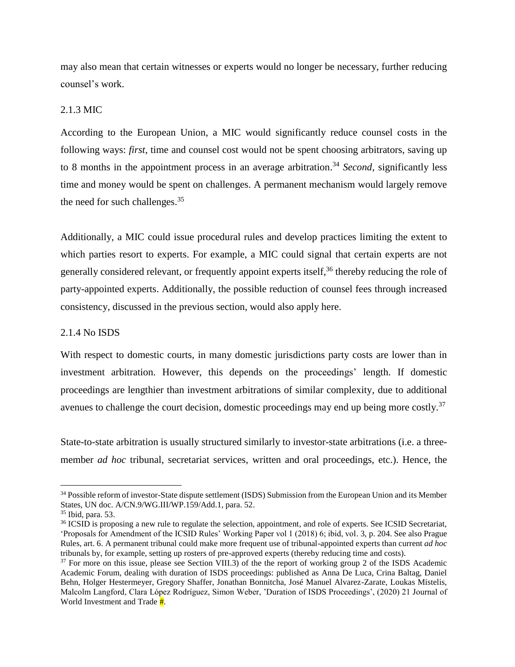may also mean that certain witnesses or experts would no longer be necessary, further reducing counsel's work.

#### 2.1.3 MIC

According to the European Union, a MIC would significantly reduce counsel costs in the following ways: *first*, time and counsel cost would not be spent choosing arbitrators, saving up to 8 months in the appointment process in an average arbitration. <sup>34</sup> *Second*, significantly less time and money would be spent on challenges. A permanent mechanism would largely remove the need for such challenges.<sup>35</sup>

Additionally, a MIC could issue procedural rules and develop practices limiting the extent to which parties resort to experts. For example, a MIC could signal that certain experts are not generally considered relevant, or frequently appoint experts itself,<sup>36</sup> thereby reducing the role of party-appointed experts. Additionally, the possible reduction of counsel fees through increased consistency, discussed in the previous section, would also apply here.

#### 2.1.4 No ISDS

With respect to domestic courts, in many domestic jurisdictions party costs are lower than in investment arbitration. However, this depends on the proceedings' length. If domestic proceedings are lengthier than investment arbitrations of similar complexity, due to additional avenues to challenge the court decision, domestic proceedings may end up being more costly.<sup>37</sup>

State-to-state arbitration is usually structured similarly to investor-state arbitrations (i.e. a threemember *ad hoc* tribunal, secretariat services, written and oral proceedings, etc.). Hence, the

<sup>&</sup>lt;sup>34</sup> Possible reform of investor-State dispute settlement (ISDS) Submission from the European Union and its Member States, UN doc. A/CN.9/WG.III/WP.159/Add.1, para. 52.

<sup>35</sup> Ibid, para. 53.

<sup>&</sup>lt;sup>36</sup> ICSID is proposing a new rule to regulate the selection, appointment, and role of experts. See ICSID Secretariat, 'Proposals for Amendment of the ICSID Rules' Working Paper vol 1 (2018) 6; ibid, vol. 3, p. 204. See also Prague Rules, art. 6. A permanent tribunal could make more frequent use of tribunal-appointed experts than current *ad hoc* tribunals by, for example, setting up rosters of pre-approved experts (thereby reducing time and costs).

<sup>&</sup>lt;sup>37</sup> For more on this issue, please see Section VIII.3) of the the report of working group 2 of the ISDS Academic Academic Forum, dealing with duration of ISDS proceedings: published as Anna De Luca, Crina Baltag, Daniel Behn, Holger Hestermeyer, Gregory Shaffer, Jonathan Bonnitcha, José Manuel Alvarez-Zarate, Loukas Mistelis, Malcolm Langford, Clara López Rodríguez, Simon Weber, 'Duration of ISDS Proceedings', (2020) 21 Journal of World Investment and Trade  $\frac{H}{H}$ .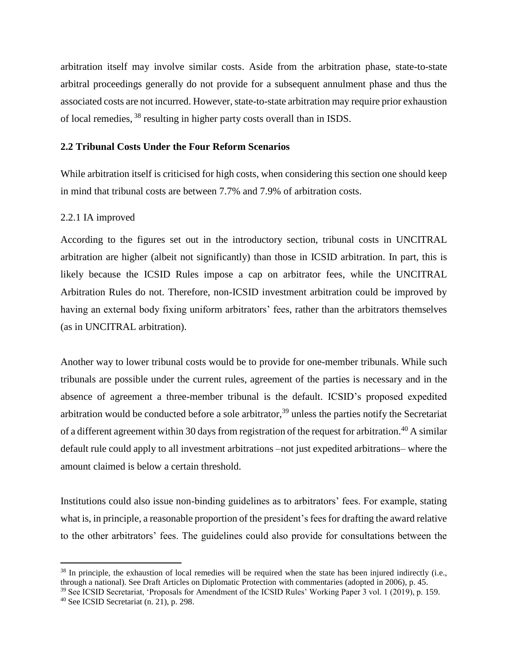arbitration itself may involve similar costs. Aside from the arbitration phase, state-to-state arbitral proceedings generally do not provide for a subsequent annulment phase and thus the associated costs are not incurred. However, state-to-state arbitration may require prior exhaustion of local remedies, <sup>38</sup> resulting in higher party costs overall than in ISDS.

#### **2.2 Tribunal Costs Under the Four Reform Scenarios**

While arbitration itself is criticised for high costs, when considering this section one should keep in mind that tribunal costs are between 7.7% and 7.9% of arbitration costs.

#### 2.2.1 IA improved

According to the figures set out in the introductory section, tribunal costs in UNCITRAL arbitration are higher (albeit not significantly) than those in ICSID arbitration. In part, this is likely because the ICSID Rules impose a cap on arbitrator fees, while the UNCITRAL Arbitration Rules do not. Therefore, non-ICSID investment arbitration could be improved by having an external body fixing uniform arbitrators' fees, rather than the arbitrators themselves (as in UNCITRAL arbitration).

Another way to lower tribunal costs would be to provide for one-member tribunals. While such tribunals are possible under the current rules, agreement of the parties is necessary and in the absence of agreement a three-member tribunal is the default. ICSID's proposed expedited arbitration would be conducted before a sole arbitrator, <sup>39</sup> unless the parties notify the Secretariat of a different agreement within 30 days from registration of the request for arbitration.<sup>40</sup> A similar default rule could apply to all investment arbitrations –not just expedited arbitrations– where the amount claimed is below a certain threshold.

Institutions could also issue non-binding guidelines as to arbitrators' fees. For example, stating what is, in principle, a reasonable proportion of the president's fees for drafting the award relative to the other arbitrators' fees. The guidelines could also provide for consultations between the

<sup>&</sup>lt;sup>38</sup> In principle, the exhaustion of local remedies will be required when the state has been injured indirectly (i.e., through a national). See Draft Articles on Diplomatic Protection with commentaries (adopted in 2006), p. 45.

<sup>&</sup>lt;sup>39</sup> See ICSID Secretariat, 'Proposals for Amendment of the ICSID Rules' Working Paper 3 vol. 1 (2019), p. 159.

<sup>40</sup> See ICSID Secretariat (n. 21), p. 298.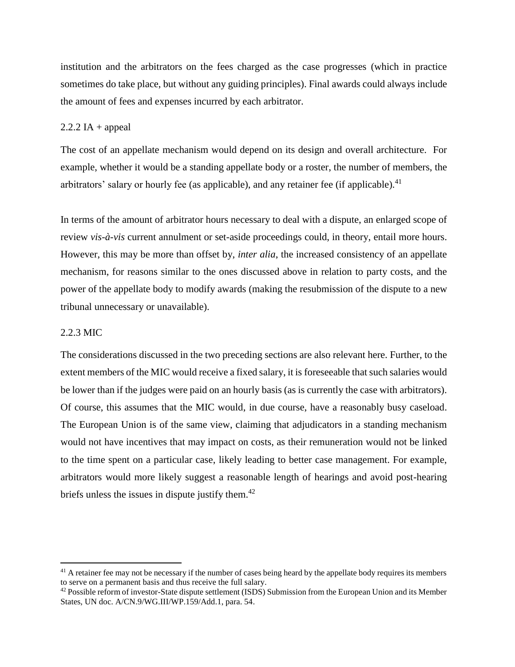institution and the arbitrators on the fees charged as the case progresses (which in practice sometimes do take place, but without any guiding principles). Final awards could always include the amount of fees and expenses incurred by each arbitrator.

#### $2.2.2$  IA + appeal

The cost of an appellate mechanism would depend on its design and overall architecture. For example, whether it would be a standing appellate body or a roster, the number of members, the arbitrators' salary or hourly fee (as applicable), and any retainer fee (if applicable).<sup>41</sup>

In terms of the amount of arbitrator hours necessary to deal with a dispute, an enlarged scope of review *vis-à-vis* current annulment or set-aside proceedings could, in theory, entail more hours. However, this may be more than offset by, *inter alia*, the increased consistency of an appellate mechanism, for reasons similar to the ones discussed above in relation to party costs, and the power of the appellate body to modify awards (making the resubmission of the dispute to a new tribunal unnecessary or unavailable).

#### 2.2.3 MIC

 $\overline{a}$ 

The considerations discussed in the two preceding sections are also relevant here. Further, to the extent members of the MIC would receive a fixed salary, it is foreseeable that such salaries would be lower than if the judges were paid on an hourly basis (as is currently the case with arbitrators). Of course, this assumes that the MIC would, in due course, have a reasonably busy caseload. The European Union is of the same view, claiming that adjudicators in a standing mechanism would not have incentives that may impact on costs, as their remuneration would not be linked to the time spent on a particular case, likely leading to better case management. For example, arbitrators would more likely suggest a reasonable length of hearings and avoid post-hearing briefs unless the issues in dispute justify them.<sup>42</sup>

<sup>&</sup>lt;sup>41</sup> A retainer fee may not be necessary if the number of cases being heard by the appellate body requires its members to serve on a permanent basis and thus receive the full salary.

<sup>&</sup>lt;sup>42</sup> Possible reform of investor-State dispute settlement (ISDS) Submission from the European Union and its Member States, UN doc. A/CN.9/WG.III/WP.159/Add.1, para. 54.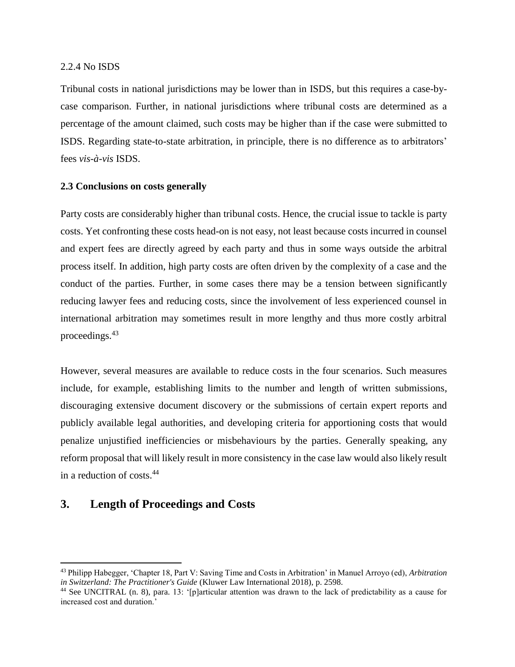#### 2.2.4 No ISDS

Tribunal costs in national jurisdictions may be lower than in ISDS, but this requires a case-bycase comparison. Further, in national jurisdictions where tribunal costs are determined as a percentage of the amount claimed, such costs may be higher than if the case were submitted to ISDS. Regarding state-to-state arbitration, in principle, there is no difference as to arbitrators' fees *vis-à-vis* ISDS.

#### **2.3 Conclusions on costs generally**

Party costs are considerably higher than tribunal costs. Hence, the crucial issue to tackle is party costs. Yet confronting these costs head-on is not easy, not least because costs incurred in counsel and expert fees are directly agreed by each party and thus in some ways outside the arbitral process itself. In addition, high party costs are often driven by the complexity of a case and the conduct of the parties. Further, in some cases there may be a tension between significantly reducing lawyer fees and reducing costs, since the involvement of less experienced counsel in international arbitration may sometimes result in more lengthy and thus more costly arbitral proceedings.<sup>43</sup>

<span id="page-12-0"></span>However, several measures are available to reduce costs in the four scenarios. Such measures include, for example, establishing limits to the number and length of written submissions, discouraging extensive document discovery or the submissions of certain expert reports and publicly available legal authorities, and developing criteria for apportioning costs that would penalize unjustified inefficiencies or misbehaviours by the parties. Generally speaking, any reform proposal that will likely result in more consistency in the case law would also likely result in a reduction of costs.<sup>44</sup>

# **3. Length of Proceedings and Costs**

<sup>43</sup> Philipp Habegger, 'Chapter 18, Part V: Saving Time and Costs in Arbitration' in Manuel Arroyo (ed), *Arbitration in Switzerland: The Practitioner's Guide* (Kluwer Law International 2018), p. 2598.

<sup>44</sup> See UNCITRAL (n. [8\)](#page-3-0), para. 13: '[p]articular attention was drawn to the lack of predictability as a cause for increased cost and duration.'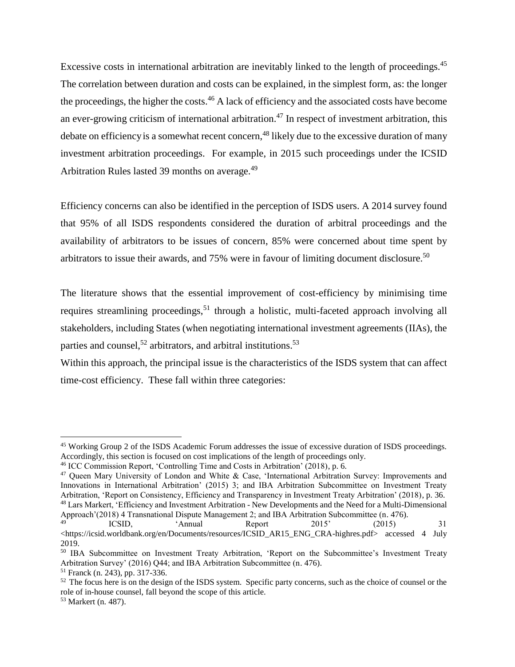<span id="page-13-3"></span><span id="page-13-1"></span><span id="page-13-0"></span>Excessive costs in international arbitration are inevitably linked to the length of proceedings.<sup>45</sup> The correlation between duration and costs can be explained, in the simplest form, as: the longer the proceedings, the higher the costs.<sup>46</sup> A lack of efficiency and the associated costs have become an ever-growing criticism of international arbitration.<sup>47</sup> In respect of investment arbitration, this debate on efficiency is a somewhat recent concern,<sup>48</sup> likely due to the excessive duration of many investment arbitration proceedings. For example, in 2015 such proceedings under the ICSID Arbitration Rules lasted 39 months on average.<sup>49</sup>

Efficiency concerns can also be identified in the perception of ISDS users. A 2014 survey found that 95% of all ISDS respondents considered the duration of arbitral proceedings and the availability of arbitrators to be issues of concern, 85% were concerned about time spent by arbitrators to issue their awards, and 75% were in favour of limiting document disclosure.<sup>50</sup>

<span id="page-13-2"></span>The literature shows that the essential improvement of cost-efficiency by minimising time requires streamlining proceedings,<sup>51</sup> through a holistic, multi-faceted approach involving all stakeholders, including States (when negotiating international investment agreements (IIAs), the parties and counsel,<sup>52</sup> arbitrators, and arbitral institutions.<sup>53</sup>

Within this approach, the principal issue is the characteristics of the ISDS system that can affect time-cost efficiency. These fall within three categories:

<sup>45</sup> Working Group 2 of the ISDS Academic Forum addresses the issue of excessive duration of ISDS proceedings. Accordingly, this section is focused on cost implications of the length of proceedings only.

<sup>46</sup> ICC Commission Report, 'Controlling Time and Costs in Arbitration' (2018), p. 6.

<sup>47</sup> Queen Mary University of London and White & Case, 'International Arbitration Survey: Improvements and Innovations in International Arbitration' (2015) 3; and IBA Arbitration Subcommittee on Investment Treaty Arbitration, 'Report on Consistency, Efficiency and Transparency in Investment Treaty Arbitration' (2018), p. 36. <sup>48</sup> Lars Markert, 'Efficiency and Investment Arbitration - New Developments and the Need for a Multi-Dimensional Approach'(2018) 4 Transnational Dispute Management 2; and IBA Arbitration Subcommittee (n. [476](#page-13-0)).

<sup>49</sup> ICSID, 'Annual Report 2015' (2015) 31 <https://icsid.worldbank.org/en/Documents/resources/ICSID\_AR15\_ENG\_CRA-highres.pdf> accessed 4 July 2019.

<sup>&</sup>lt;sup>50</sup> IBA Subcommittee on Investment Treaty Arbitration, 'Report on the Subcommittee's Investment Treaty Arbitration Survey' (2016) Q44; and IBA Arbitration Subcommittee (n. [476](#page-13-0)).

<sup>51</sup> Franck (n. [243](#page-6-0)), pp. 317-336.

<sup>&</sup>lt;sup>52</sup> The focus here is on the design of the ISDS system. Specific party concerns, such as the choice of counsel or the role of in-house counsel, fall beyond the scope of this article.

<sup>53</sup> Markert (n. [487](#page-13-1)).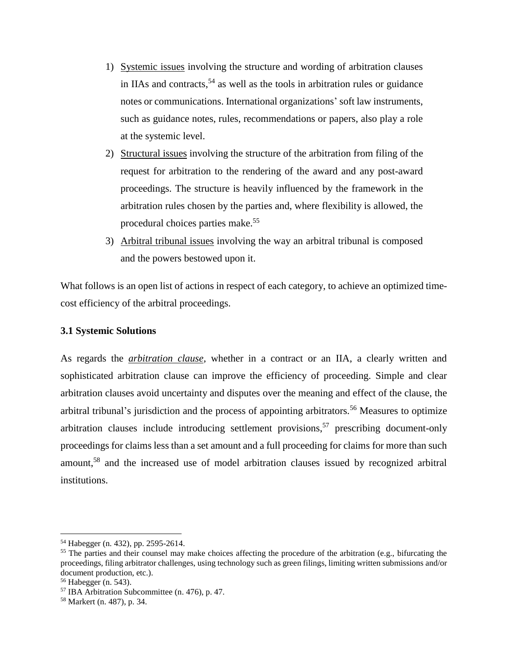- <span id="page-14-0"></span>1) Systemic issues involving the structure and wording of arbitration clauses in IIAs and contracts, <sup>54</sup> as well as the tools in arbitration rules or guidance notes or communications. International organizations' soft law instruments, such as guidance notes, rules, recommendations or papers, also play a role at the systemic level.
- 2) Structural issues involving the structure of the arbitration from filing of the request for arbitration to the rendering of the award and any post-award proceedings. The structure is heavily influenced by the framework in the arbitration rules chosen by the parties and, where flexibility is allowed, the procedural choices parties make.<sup>55</sup>
- 3) Arbitral tribunal issues involving the way an arbitral tribunal is composed and the powers bestowed upon it.

What follows is an open list of actions in respect of each category, to achieve an optimized timecost efficiency of the arbitral proceedings.

## **3.1 Systemic Solutions**

As regards the *arbitration clause*, whether in a contract or an IIA, a clearly written and sophisticated arbitration clause can improve the efficiency of proceeding. Simple and clear arbitration clauses avoid uncertainty and disputes over the meaning and effect of the clause, the arbitral tribunal's jurisdiction and the process of appointing arbitrators.<sup>56</sup> Measures to optimize arbitration clauses include introducing settlement provisions, <sup>57</sup> prescribing document-only proceedings for claims less than a set amount and a full proceeding for claims for more than such amount, <sup>58</sup> and the increased use of model arbitration clauses issued by recognized arbitral institutions.

<sup>54</sup> Habegger (n[. 432](#page-12-0)), pp. 2595-2614.

<sup>&</sup>lt;sup>55</sup> The parties and their counsel may make choices affecting the procedure of the arbitration (e.g., bifurcating the proceedings, filing arbitrator challenges, using technology such as green filings, limiting written submissions and/or document production, etc.).

<sup>56</sup> Habegger (n. [543](#page-14-0)).

<sup>57</sup> IBA Arbitration Subcommittee (n. [476](#page-13-0)), p. 47.

<sup>58</sup> Markert (n. [487](#page-13-1)), p. 34.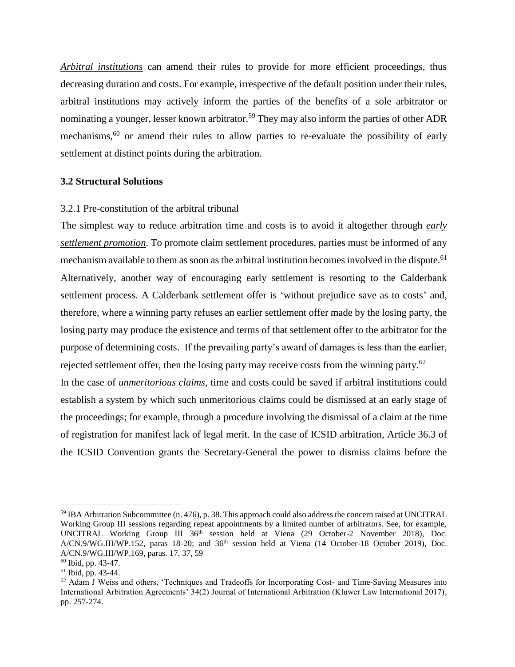*Arbitral institutions* can amend their rules to provide for more efficient proceedings, thus decreasing duration and costs. For example, irrespective of the default position under their rules, arbitral institutions may actively inform the parties of the benefits of a sole arbitrator or nominating a younger, lesser known arbitrator.<sup>59</sup> They may also inform the parties of other ADR mechanisms,<sup>60</sup> or amend their rules to allow parties to re-evaluate the possibility of early settlement at distinct points during the arbitration.

# **3.2 Structural Solutions**

#### 3.2.1 Pre-constitution of the arbitral tribunal

<span id="page-15-0"></span>The simplest way to reduce arbitration time and costs is to avoid it altogether through *early settlement promotion*. To promote claim settlement procedures, parties must be informed of any mechanism available to them as soon as the arbitral institution becomes involved in the dispute.<sup>61</sup> Alternatively, another way of encouraging early settlement is resorting to the Calderbank settlement process. A Calderbank settlement offer is 'without prejudice save as to costs' and, therefore, where a winning party refuses an earlier settlement offer made by the losing party, the losing party may produce the existence and terms of that settlement offer to the arbitrator for the purpose of determining costs. If the prevailing party's award of damages is less than the earlier, rejected settlement offer, then the losing party may receive costs from the winning party.<sup>62</sup> In the case of *unmeritorious claims*, time and costs could be saved if arbitral institutions could establish a system by which such unmeritorious claims could be dismissed at an early stage of the proceedings; for example, through a procedure involving the dismissal of a claim at the time of registration for manifest lack of legal merit. In the case of ICSID arbitration, Article 36.3 of the ICSID Convention grants the Secretary-General the power to dismiss claims before the

<sup>59</sup> IBA Arbitration Subcommittee (n. [476](#page-13-0)), p. 38. This approach could also address the concern raised at UNCITRAL Working Group III sessions regarding repeat appointments by a limited number of arbitrators. See, for example, UNCITRAL Working Group III 36<sup>th</sup> session held at Viena (29 October-2 November 2018), Doc. A/CN.9/WG.III/WP.152, paras 18-20; and 36<sup>th</sup> session held at Viena (14 October-18 October 2019), Doc. A/CN.9/WG.III/WP.169, paras. 17, 37, 59

 $60$  Ibid, pp. 43-47.

<sup>61</sup> Ibid, pp. 43-44.

<sup>62</sup> Adam J Weiss and others, 'Techniques and Tradeoffs for Incorporating Cost- and Time-Saving Measures into International Arbitration Agreements' 34(2) Journal of International Arbitration (Kluwer Law International 2017), pp. 257-274.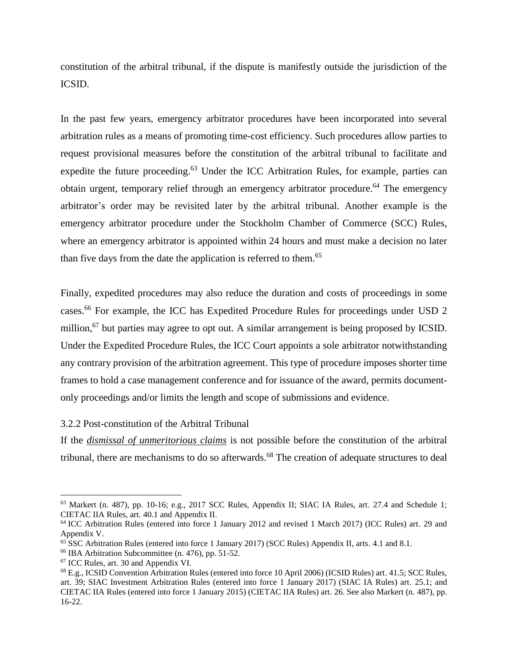constitution of the arbitral tribunal, if the dispute is manifestly outside the jurisdiction of the ICSID.

In the past few years, emergency arbitrator procedures have been incorporated into several arbitration rules as a means of promoting time-cost efficiency. Such procedures allow parties to request provisional measures before the constitution of the arbitral tribunal to facilitate and expedite the future proceeding.<sup>63</sup> Under the ICC Arbitration Rules, for example, parties can obtain urgent, temporary relief through an emergency arbitrator procedure. <sup>64</sup> The emergency arbitrator's order may be revisited later by the arbitral tribunal. Another example is the emergency arbitrator procedure under the Stockholm Chamber of Commerce (SCC) Rules, where an emergency arbitrator is appointed within 24 hours and must make a decision no later than five days from the date the application is referred to them.<sup>65</sup>

Finally, expedited procedures may also reduce the duration and costs of proceedings in some cases.<sup>66</sup> For example, the ICC has Expedited Procedure Rules for proceedings under USD 2 million,<sup>67</sup> but parties may agree to opt out. A similar arrangement is being proposed by ICSID. Under the Expedited Procedure Rules, the ICC Court appoints a sole arbitrator notwithstanding any contrary provision of the arbitration agreement. This type of procedure imposes shorter time frames to hold a case management conference and for issuance of the award, permits documentonly proceedings and/or limits the length and scope of submissions and evidence.

#### 3.2.2 Post-constitution of the Arbitral Tribunal

If the *dismissal of unmeritorious claims* is not possible before the constitution of the arbitral tribunal, there are mechanisms to do so afterwards.<sup>68</sup> The creation of adequate structures to deal

<sup>63</sup> Markert (n. [487](#page-13-1)), pp. 10-16; e.g., 2017 SCC Rules, Appendix II; SIAC IA Rules, art. 27.4 and Schedule 1; CIETAC IIA Rules, art. 40.1 and Appendix II.

<sup>&</sup>lt;sup>64</sup> ICC Arbitration Rules (entered into force 1 January 2012 and revised 1 March 2017) (ICC Rules) art. 29 and Appendix V.

<sup>65</sup> SSC Arbitration Rules (entered into force 1 January 2017) (SCC Rules) Appendix II, arts. 4.1 and 8.1.

 $66$  IBA Arbitration Subcommittee (n. [476](#page-13-0)), pp. 51-52.

<sup>67</sup> ICC Rules, art. 30 and Appendix VI.

<sup>68</sup> E.g., ICSID Convention Arbitration Rules (entered into force 10 April 2006) (ICSID Rules) art. 41.5; SCC Rules, art. 39; SIAC Investment Arbitration Rules (entered into force 1 January 2017) (SIAC IA Rules) art. 25.1; and CIETAC IIA Rules (entered into force 1 January 2015) (CIETAC IIA Rules) art. 26. See also Markert (n. [487](#page-13-1)), pp. 16-22.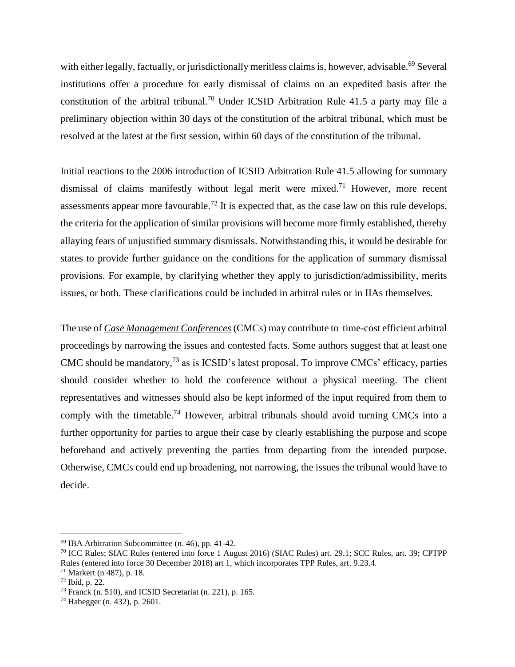with either legally, factually, or jurisdictionally meritless claims is, however, advisable.<sup>69</sup> Several institutions offer a procedure for early dismissal of claims on an expedited basis after the constitution of the arbitral tribunal.<sup>70</sup> Under ICSID Arbitration Rule 41.5 a party may file a preliminary objection within 30 days of the constitution of the arbitral tribunal, which must be resolved at the latest at the first session, within 60 days of the constitution of the tribunal.

Initial reactions to the 2006 introduction of ICSID Arbitration Rule 41.5 allowing for summary dismissal of claims manifestly without legal merit were mixed.<sup>71</sup> However, more recent assessments appear more favourable.<sup>72</sup> It is expected that, as the case law on this rule develops, the criteria for the application of similar provisions will become more firmly established, thereby allaying fears of unjustified summary dismissals. Notwithstanding this, it would be desirable for states to provide further guidance on the conditions for the application of summary dismissal provisions. For example, by clarifying whether they apply to jurisdiction/admissibility, merits issues, or both. These clarifications could be included in arbitral rules or in IIAs themselves.

The use of *Case Management Conferences* (CMCs) may contribute to time-cost efficient arbitral proceedings by narrowing the issues and contested facts. Some authors suggest that at least one CMC should be mandatory,  $^{73}$  as is ICSID's latest proposal. To improve CMCs' efficacy, parties should consider whether to hold the conference without a physical meeting. The client representatives and witnesses should also be kept informed of the input required from them to comply with the timetable.<sup>74</sup> However, arbitral tribunals should avoid turning CMCs into a further opportunity for parties to argue their case by clearly establishing the purpose and scope beforehand and actively preventing the parties from departing from the intended purpose. Otherwise, CMCs could end up broadening, not narrowing, the issues the tribunal would have to decide.

 $69$  IBA Arbitration Subcommittee (n. 46), pp. 41-42.

<sup>70</sup> ICC Rules; SIAC Rules (entered into force 1 August 2016) (SIAC Rules) art. 29.1; SCC Rules, art. 39; CPTPP Rules (entered into force 30 December 2018) art 1, which incorporates TPP Rules, art. 9.23.4.

<sup>71</sup> Markert (n [487](#page-13-1)), p. 18.

<sup>72</sup> Ibid, p. 22.

<sup>73</sup> Franck (n. [510](#page-13-2)), and ICSID Secretariat (n. [221](#page-6-1)), p. 165.

<sup>74</sup> Habegger (n. [432](#page-12-0)), p. 2601.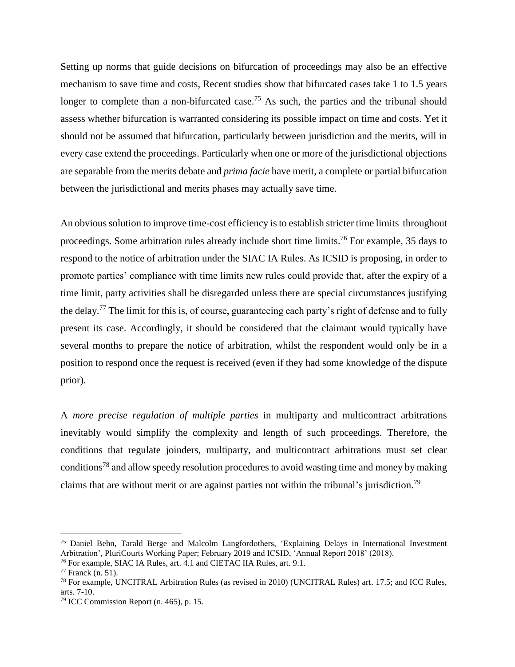Setting up norms that guide decisions on bifurcation of proceedings may also be an effective mechanism to save time and costs, Recent studies show that bifurcated cases take 1 to 1.5 years longer to complete than a non-bifurcated case.<sup>75</sup> As such, the parties and the tribunal should assess whether bifurcation is warranted considering its possible impact on time and costs. Yet it should not be assumed that bifurcation, particularly between jurisdiction and the merits, will in every case extend the proceedings. Particularly when one or more of the jurisdictional objections are separable from the merits debate and *prima facie* have merit, a complete or partial bifurcation between the jurisdictional and merits phases may actually save time.

An obvious solution to improve time-cost efficiency isto establish stricter time limits throughout proceedings. Some arbitration rules already include short time limits.<sup>76</sup> For example, 35 days to respond to the notice of arbitration under the SIAC IA Rules. As ICSID is proposing, in order to promote parties' compliance with time limits new rules could provide that, after the expiry of a time limit, party activities shall be disregarded unless there are special circumstances justifying the delay.<sup>77</sup> The limit for this is, of course, guaranteeing each party's right of defense and to fully present its case. Accordingly, it should be considered that the claimant would typically have several months to prepare the notice of arbitration, whilst the respondent would only be in a position to respond once the request is received (even if they had some knowledge of the dispute prior).

A *more precise regulation of multiple parties* in multiparty and multicontract arbitrations inevitably would simplify the complexity and length of such proceedings. Therefore, the conditions that regulate joinders, multiparty, and multicontract arbitrations must set clear conditions<sup>78</sup> and allow speedy resolution procedures to avoid wasting time and money by making claims that are without merit or are against parties not within the tribunal's jurisdiction.<sup>79</sup>

<sup>75</sup> Daniel Behn, Tarald Berge and Malcolm Langfordothers, 'Explaining Delays in International Investment Arbitration', PluriCourts Working Paper; February 2019 and ICSID, 'Annual Report 2018' (2018).

<sup>76</sup> For example, SIAC IA Rules, art. 4.1 and CIETAC IIA Rules, art. 9.1.

 $77$  Franck (n. [51\)](#page-13-2).

<sup>78</sup> For example, UNCITRAL Arbitration Rules (as revised in 2010) (UNCITRAL Rules) art. 17.5; and ICC Rules, arts. 7-10.

<sup>79</sup> ICC Commission Report (n. [465](#page-13-3)), p. 15.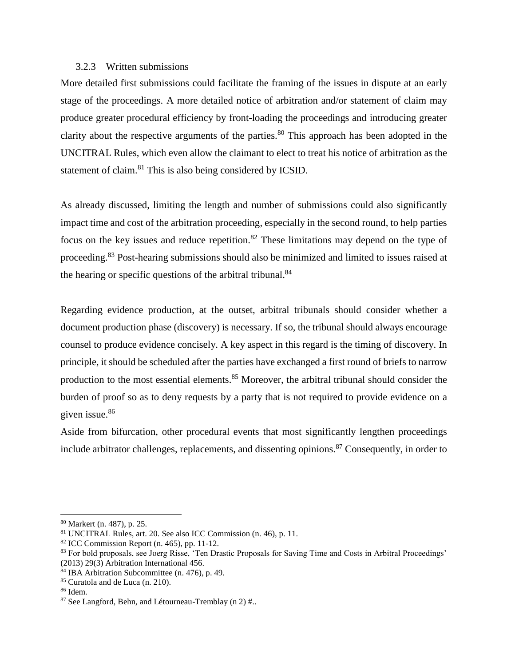#### 3.2.3 Written submissions

More detailed first submissions could facilitate the framing of the issues in dispute at an early stage of the proceedings. A more detailed notice of arbitration and/or statement of claim may produce greater procedural efficiency by front-loading the proceedings and introducing greater clarity about the respective arguments of the parties.<sup>80</sup> This approach has been adopted in the UNCITRAL Rules, which even allow the claimant to elect to treat his notice of arbitration as the statement of claim.<sup>81</sup> This is also being considered by ICSID.

<span id="page-19-0"></span>As already discussed, limiting the length and number of submissions could also significantly impact time and cost of the arbitration proceeding, especially in the second round, to help parties focus on the key issues and reduce repetition.<sup>82</sup> These limitations may depend on the type of proceeding.<sup>83</sup> Post-hearing submissions should also be minimized and limited to issues raised at the hearing or specific questions of the arbitral tribunal.<sup>84</sup>

Regarding evidence production, at the outset, arbitral tribunals should consider whether a document production phase (discovery) is necessary. If so, the tribunal should always encourage counsel to produce evidence concisely. A key aspect in this regard is the timing of discovery. In principle, it should be scheduled after the parties have exchanged a first round of briefs to narrow production to the most essential elements.<sup>85</sup> Moreover, the arbitral tribunal should consider the burden of proof so as to deny requests by a party that is not required to provide evidence on a given issue.<sup>86</sup>

<span id="page-19-1"></span>Aside from bifurcation, other procedural events that most significantly lengthen proceedings include arbitrator challenges, replacements, and dissenting opinions.<sup>87</sup> Consequently, in order to

<sup>80</sup> Markert (n. [487](#page-13-1)), p. 25.

<sup>81</sup> UNCITRAL Rules, art. 20. See also ICC Commission (n. [46\)](#page-13-3), p. 11.

 $82$  ICC Commission Report (n. [465](#page-13-3)), pp. 11-12.

<sup>83</sup> For bold proposals, see Joerg Risse, 'Ten Drastic Proposals for Saving Time and Costs in Arbitral Proceedings' (2013) 29(3) Arbitration International 456.

<sup>84</sup> IBA Arbitration Subcommittee (n. [476](#page-13-0)), p. 49.

<sup>85</sup> Curatola and de Luca (n. [210](#page-6-2)).

<sup>86</sup> Idem.

<sup>&</sup>lt;sup>87</sup> See Langford, Behn, and Létourneau-Tremblay (n 2)  $\#$ .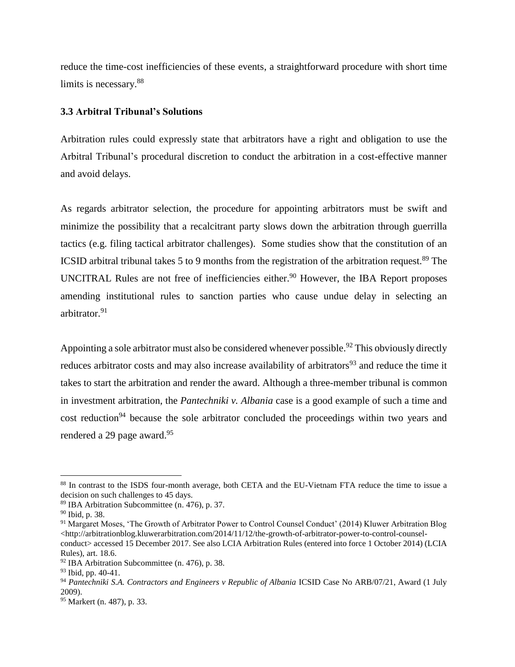reduce the time-cost inefficiencies of these events, a straightforward procedure with short time limits is necessary.<sup>88</sup>

#### **3.3 Arbitral Tribunal's Solutions**

Arbitration rules could expressly state that arbitrators have a right and obligation to use the Arbitral Tribunal's procedural discretion to conduct the arbitration in a cost-effective manner and avoid delays.

As regards arbitrator selection, the procedure for appointing arbitrators must be swift and minimize the possibility that a recalcitrant party slows down the arbitration through guerrilla tactics (e.g. filing tactical arbitrator challenges). Some studies show that the constitution of an ICSID arbitral tribunal takes 5 to 9 months from the registration of the arbitration request.<sup>89</sup> The UNCITRAL Rules are not free of inefficiencies either. <sup>90</sup> However, the IBA Report proposes amending institutional rules to sanction parties who cause undue delay in selecting an arbitrator.<sup>91</sup>

Appointing a sole arbitrator must also be considered whenever possible.<sup>92</sup> This obviously directly reduces arbitrator costs and may also increase availability of arbitrators<sup>93</sup> and reduce the time it takes to start the arbitration and render the award. Although a three-member tribunal is common in investment arbitration, the *Pantechniki v. Albania* case is a good example of such a time and cost reduction<sup>94</sup> because the sole arbitrator concluded the proceedings within two years and rendered a 29 page award.<sup>95</sup>

<sup>88</sup> In contrast to the ISDS four-month average, both CETA and the EU-Vietnam FTA reduce the time to issue a decision on such challenges to 45 days.

<sup>89</sup> IBA Arbitration Subcommittee (n. [476](#page-13-0)), p. 37.

<sup>90</sup> Ibid, p. 38.

<sup>&</sup>lt;sup>91</sup> Margaret Moses, 'The Growth of Arbitrator Power to Control Counsel Conduct' (2014) Kluwer Arbitration Blog  $\text{tdtttp://arbitrationblog.kluwerarbitration.com/2014/11/12/the-growth-of-arbitrator-power-to-control-counsel$ conduct> accessed 15 December 2017. See also LCIA Arbitration Rules (entered into force 1 October 2014) (LCIA Rules), art. 18.6.

 $92$  IBA Arbitration Subcommittee (n. [476](#page-13-0)), p. 38.

<sup>93</sup> Ibid, pp. 40-41.

<sup>94</sup> *Pantechniki S.A. Contractors and Engineers v Republic of Albania* ICSID Case No ARB/07/21, Award (1 July 2009).

<sup>95</sup> Markert (n. [487](#page-13-1)), p. 33.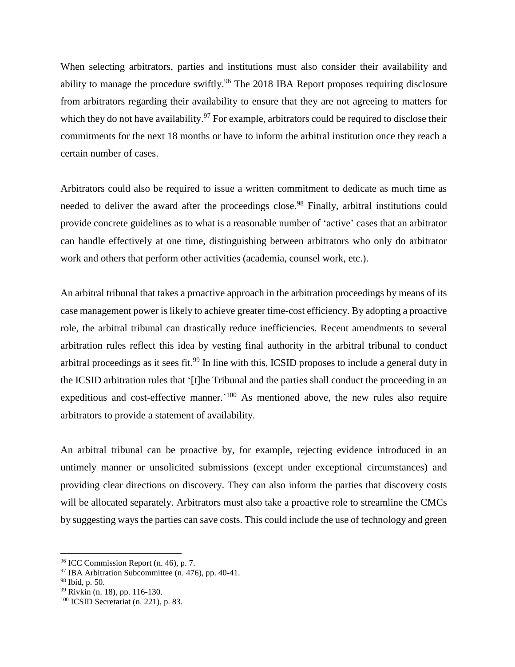When selecting arbitrators, parties and institutions must also consider their availability and ability to manage the procedure swiftly.<sup>96</sup> The 2018 IBA Report proposes requiring disclosure from arbitrators regarding their availability to ensure that they are not agreeing to matters for which they do not have availability.<sup>97</sup> For example, arbitrators could be required to disclose their commitments for the next 18 months or have to inform the arbitral institution once they reach a certain number of cases.

Arbitrators could also be required to issue a written commitment to dedicate as much time as needed to deliver the award after the proceedings close.<sup>98</sup> Finally, arbitral institutions could provide concrete guidelines as to what is a reasonable number of 'active' cases that an arbitrator can handle effectively at one time, distinguishing between arbitrators who only do arbitrator work and others that perform other activities (academia, counsel work, etc.).

An arbitral tribunal that takes a proactive approach in the arbitration proceedings by means of its case management power is likely to achieve greater time-cost efficiency. By adopting a proactive role, the arbitral tribunal can drastically reduce inefficiencies. Recent amendments to several arbitration rules reflect this idea by vesting final authority in the arbitral tribunal to conduct arbitral proceedings as it sees fit.<sup>99</sup> In line with this, ICSID proposes to include a general duty in the ICSID arbitration rules that '[t]he Tribunal and the parties shall conduct the proceeding in an expeditious and cost-effective manner.<sup>'100</sup> As mentioned above, the new rules also require arbitrators to provide a statement of availability.

An arbitral tribunal can be proactive by, for example, rejecting evidence introduced in an untimely manner or unsolicited submissions (except under exceptional circumstances) and providing clear directions on discovery. They can also inform the parties that discovery costs will be allocated separately. Arbitrators must also take a proactive role to streamline the CMCs by suggesting ways the parties can save costs. This could include the use of technology and green

<sup>96</sup> ICC Commission Report (n. [46\)](#page-13-3), p. 7.

 $97$  IBA Arbitration Subcommittee (n. [476](#page-13-0)), pp. 40-41.

<sup>98</sup> Ibid, p. 50.

<sup>99</sup> Rivkin (n. [18\)](#page-5-0), pp. 116-130.

<sup>100</sup> ICSID Secretariat (n. [221](#page-6-1)), p. 83.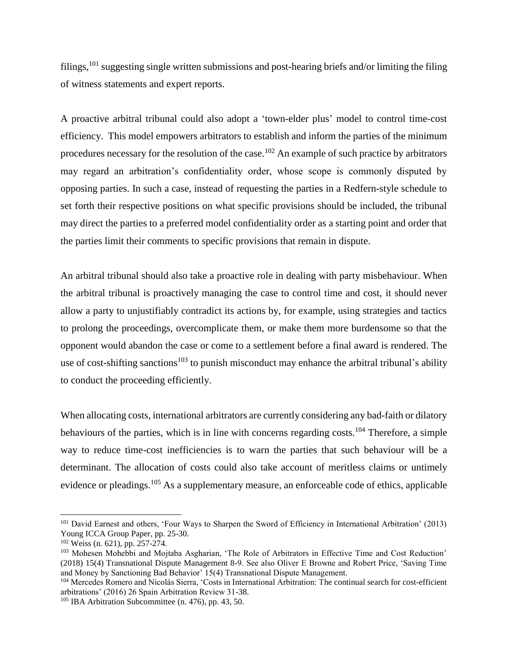filings,<sup>101</sup> suggesting single written submissions and post-hearing briefs and/or limiting the filing of witness statements and expert reports.

A proactive arbitral tribunal could also adopt a 'town-elder plus' model to control time-cost efficiency. This model empowers arbitrators to establish and inform the parties of the minimum procedures necessary for the resolution of the case.<sup>102</sup> An example of such practice by arbitrators may regard an arbitration's confidentiality order, whose scope is commonly disputed by opposing parties. In such a case, instead of requesting the parties in a Redfern-style schedule to set forth their respective positions on what specific provisions should be included, the tribunal may direct the parties to a preferred model confidentiality order as a starting point and order that the parties limit their comments to specific provisions that remain in dispute.

An arbitral tribunal should also take a proactive role in dealing with party misbehaviour. When the arbitral tribunal is proactively managing the case to control time and cost, it should never allow a party to unjustifiably contradict its actions by, for example, using strategies and tactics to prolong the proceedings, overcomplicate them, or make them more burdensome so that the opponent would abandon the case or come to a settlement before a final award is rendered. The use of cost-shifting sanctions<sup>103</sup> to punish misconduct may enhance the arbitral tribunal's ability to conduct the proceeding efficiently.

When allocating costs, international arbitrators are currently considering any bad-faith or dilatory behaviours of the parties, which is in line with concerns regarding costs.<sup>104</sup> Therefore, a simple way to reduce time-cost inefficiencies is to warn the parties that such behaviour will be a determinant. The allocation of costs could also take account of meritless claims or untimely evidence or pleadings.<sup>105</sup> As a supplementary measure, an enforceable code of ethics, applicable

<sup>&</sup>lt;sup>101</sup> David Earnest and others, 'Four Ways to Sharpen the Sword of Efficiency in International Arbitration' (2013) Young ICCA Group Paper, pp. 25-30.

<sup>102</sup> Weiss (n. [621](#page-15-0)), pp. 257-274.

<sup>103</sup> Mohesen Mohebbi and Mojtaba Asgharian, 'The Role of Arbitrators in Effective Time and Cost Reduction' (2018) 15(4) Transnational Dispute Management 8-9. See also Oliver E Browne and Robert Price, 'Saving Time and Money by Sanctioning Bad Behavior' 15(4) Transnational Dispute Management.

<sup>104</sup> Mercedes Romero and Nicolás Sierra, 'Costs in International Arbitration: The continual search for cost-efficient arbitrations' (2016) 26 Spain Arbitration Review 31-38.

 $105$  IBA Arbitration Subcommittee (n. [476](#page-13-0)), pp. 43, 50.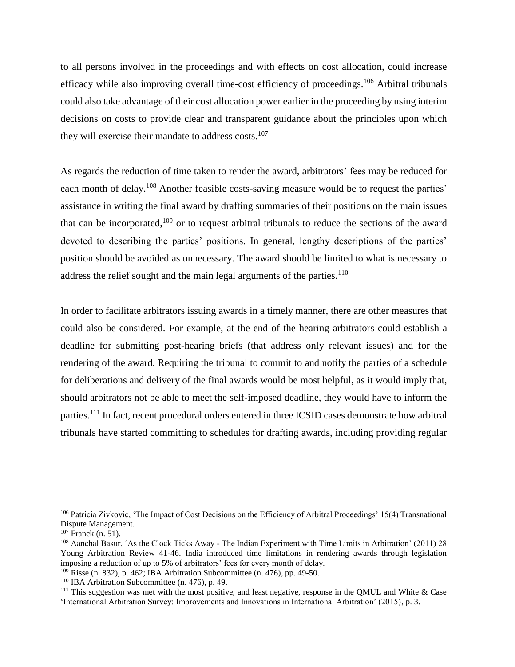to all persons involved in the proceedings and with effects on cost allocation, could increase efficacy while also improving overall time-cost efficiency of proceedings.<sup>106</sup> Arbitral tribunals could also take advantage of their cost allocation power earlier in the proceeding by using interim decisions on costs to provide clear and transparent guidance about the principles upon which they will exercise their mandate to address costs.<sup>107</sup>

As regards the reduction of time taken to render the award, arbitrators' fees may be reduced for each month of delay.<sup>108</sup> Another feasible costs-saving measure would be to request the parties' assistance in writing the final award by drafting summaries of their positions on the main issues that can be incorporated, <sup>109</sup> or to request arbitral tribunals to reduce the sections of the award devoted to describing the parties' positions. In general, lengthy descriptions of the parties' position should be avoided as unnecessary. The award should be limited to what is necessary to address the relief sought and the main legal arguments of the parties.<sup>110</sup>

In order to facilitate arbitrators issuing awards in a timely manner, there are other measures that could also be considered. For example, at the end of the hearing arbitrators could establish a deadline for submitting post-hearing briefs (that address only relevant issues) and for the rendering of the award. Requiring the tribunal to commit to and notify the parties of a schedule for deliberations and delivery of the final awards would be most helpful, as it would imply that, should arbitrators not be able to meet the self-imposed deadline, they would have to inform the parties.<sup>111</sup> In fact, recent procedural orders entered in three ICSID cases demonstrate how arbitral tribunals have started committing to schedules for drafting awards, including providing regular

<sup>&</sup>lt;sup>106</sup> Patricia Zivkovic, 'The Impact of Cost Decisions on the Efficiency of Arbitral Proceedings' 15(4) Transnational Dispute Management.

 $107$  Franck (n. [51\)](#page-13-2).

<sup>108</sup> Aanchal Basur, 'As the Clock Ticks Away - The Indian Experiment with Time Limits in Arbitration' (2011) 28 Young Arbitration Review 41-46. India introduced time limitations in rendering awards through legislation imposing a reduction of up to 5% of arbitrators' fees for every month of delay.

 $109$  Risse (n. [832](#page-19-0)), p. 462; IBA Arbitration Subcommittee (n. [476](#page-13-0)), pp. 49-50.

<sup>110</sup> IBA Arbitration Subcommittee (n. [476](#page-13-0)), p. 49.

<sup>&</sup>lt;sup>111</sup> This suggestion was met with the most positive, and least negative, response in the QMUL and White & Case 'International Arbitration Survey: Improvements and Innovations in International Arbitration' (2015), p. 3.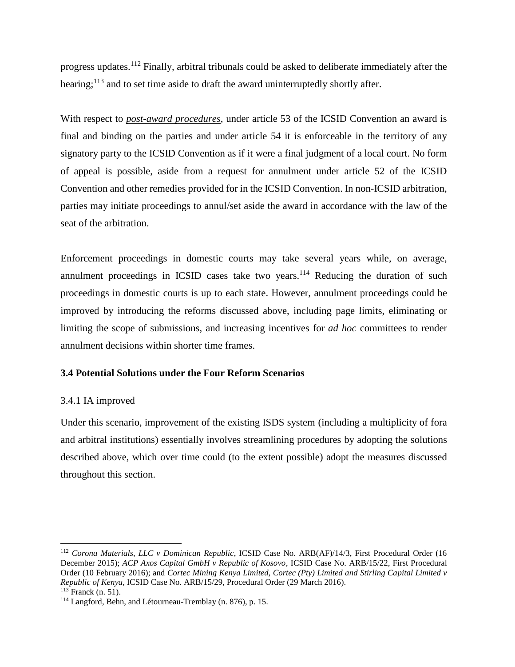progress updates.<sup>112</sup> Finally, arbitral tribunals could be asked to deliberate immediately after the hearing;<sup>113</sup> and to set time aside to draft the award uninterruptedly shortly after.

With respect to *post-award procedures*, under article 53 of the ICSID Convention an award is final and binding on the parties and under article 54 it is enforceable in the territory of any signatory party to the ICSID Convention as if it were a final judgment of a local court. No form of appeal is possible, aside from a request for annulment under article 52 of the ICSID Convention and other remedies provided for in the ICSID Convention. In non-ICSID arbitration, parties may initiate proceedings to annul/set aside the award in accordance with the law of the seat of the arbitration.

Enforcement proceedings in domestic courts may take several years while, on average, annulment proceedings in ICSID cases take two years. $114$  Reducing the duration of such proceedings in domestic courts is up to each state. However, annulment proceedings could be improved by introducing the reforms discussed above, including page limits, eliminating or limiting the scope of submissions, and increasing incentives for *ad hoc* committees to render annulment decisions within shorter time frames.

#### **3.4 Potential Solutions under the Four Reform Scenarios**

#### 3.4.1 IA improved

Under this scenario, improvement of the existing ISDS system (including a multiplicity of fora and arbitral institutions) essentially involves streamlining procedures by adopting the solutions described above, which over time could (to the extent possible) adopt the measures discussed throughout this section.

<sup>112</sup> *Corona Materials, LLC v Dominican Republic*, ICSID Case No. ARB(AF)/14/3, First Procedural Order (16 December 2015); *ACP Axos Capital GmbH v Republic of Kosovo*, ICSID Case No. ARB/15/22, First Procedural Order (10 February 2016); and *Cortec Mining Kenya Limited, Cortec (Pty) Limited and Stirling Capital Limited v Republic of Kenya*, ICSID Case No. ARB/15/29, Procedural Order (29 March 2016). <sup>113</sup> Franck (n. [51\)](#page-13-2).

<sup>114</sup> Langford, Behn, and Létourneau-Tremblay (n. [876](#page-19-1)), p. 15.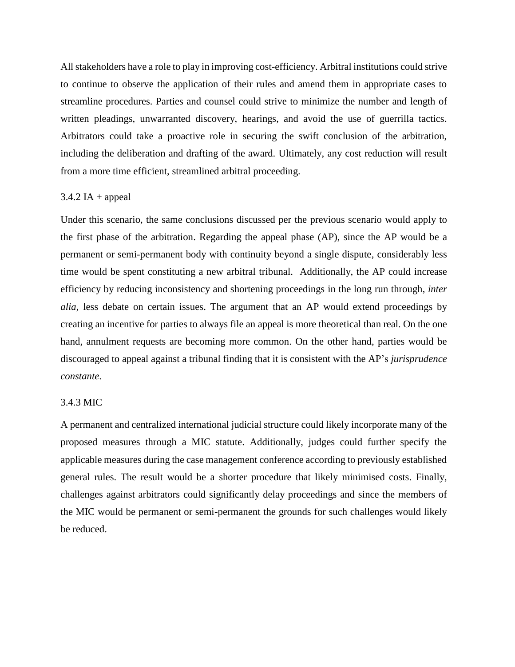All stakeholders have a role to play in improving cost-efficiency. Arbitral institutions could strive to continue to observe the application of their rules and amend them in appropriate cases to streamline procedures. Parties and counsel could strive to minimize the number and length of written pleadings, unwarranted discovery, hearings, and avoid the use of guerrilla tactics. Arbitrators could take a proactive role in securing the swift conclusion of the arbitration, including the deliberation and drafting of the award. Ultimately, any cost reduction will result from a more time efficient, streamlined arbitral proceeding.

#### $3.4.2$  IA + appeal

Under this scenario, the same conclusions discussed per the previous scenario would apply to the first phase of the arbitration. Regarding the appeal phase (AP), since the AP would be a permanent or semi-permanent body with continuity beyond a single dispute, considerably less time would be spent constituting a new arbitral tribunal. Additionally, the AP could increase efficiency by reducing inconsistency and shortening proceedings in the long run through, *inter alia*, less debate on certain issues. The argument that an AP would extend proceedings by creating an incentive for parties to always file an appeal is more theoretical than real. On the one hand, annulment requests are becoming more common. On the other hand, parties would be discouraged to appeal against a tribunal finding that it is consistent with the AP's *jurisprudence constante*.

#### 3.4.3 MIC

A permanent and centralized international judicial structure could likely incorporate many of the proposed measures through a MIC statute. Additionally, judges could further specify the applicable measures during the case management conference according to previously established general rules. The result would be a shorter procedure that likely minimised costs. Finally, challenges against arbitrators could significantly delay proceedings and since the members of the MIC would be permanent or semi-permanent the grounds for such challenges would likely be reduced.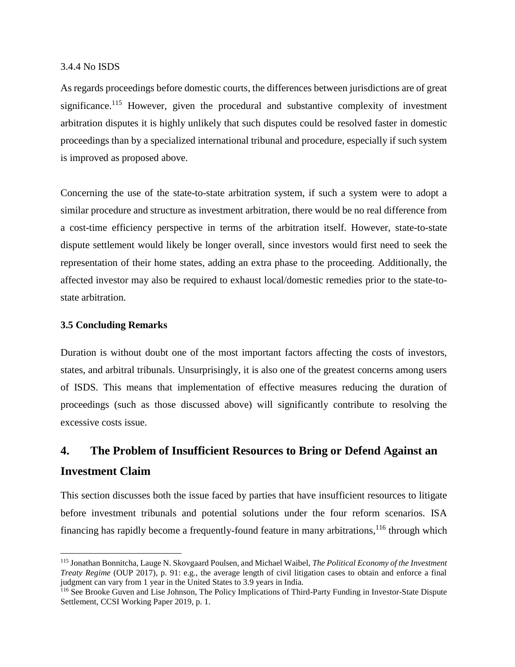#### 3.4.4 No ISDS

As regards proceedings before domestic courts, the differences between jurisdictions are of great significance.<sup>115</sup> However, given the procedural and substantive complexity of investment arbitration disputes it is highly unlikely that such disputes could be resolved faster in domestic proceedings than by a specialized international tribunal and procedure, especially if such system is improved as proposed above.

Concerning the use of the state-to-state arbitration system, if such a system were to adopt a similar procedure and structure as investment arbitration, there would be no real difference from a cost-time efficiency perspective in terms of the arbitration itself. However, state-to-state dispute settlement would likely be longer overall, since investors would first need to seek the representation of their home states, adding an extra phase to the proceeding. Additionally, the affected investor may also be required to exhaust local/domestic remedies prior to the state-tostate arbitration.

## **3.5 Concluding Remarks**

 $\overline{a}$ 

Duration is without doubt one of the most important factors affecting the costs of investors, states, and arbitral tribunals. Unsurprisingly, it is also one of the greatest concerns among users of ISDS. This means that implementation of effective measures reducing the duration of proceedings (such as those discussed above) will significantly contribute to resolving the excessive costs issue.

# **4. The Problem of Insufficient Resources to Bring or Defend Against an Investment Claim**

This section discusses both the issue faced by parties that have insufficient resources to litigate before investment tribunals and potential solutions under the four reform scenarios. ISA financing has rapidly become a frequently-found feature in many arbitrations, <sup>116</sup> through which

<sup>115</sup> Jonathan Bonnitcha, Lauge N. Skovgaard Poulsen, and Michael Waibel, *The Political Economy of the Investment Treaty Regime* (OUP 2017), p. 91: e.g., the average length of civil litigation cases to obtain and enforce a final judgment can vary from 1 year in the United States to 3.9 years in India.

<sup>116</sup> See Brooke Guven and Lise Johnson, The Policy Implications of Third-Party Funding in Investor-State Dispute Settlement, CCSI Working Paper 2019, p. 1.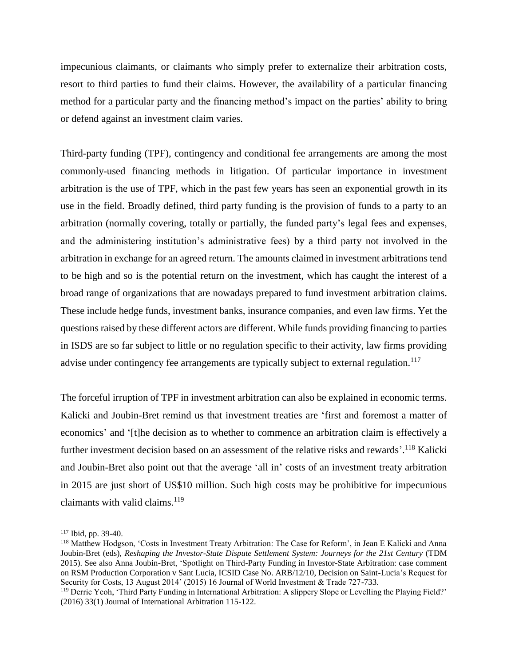impecunious claimants, or claimants who simply prefer to externalize their arbitration costs, resort to third parties to fund their claims. However, the availability of a particular financing method for a particular party and the financing method's impact on the parties' ability to bring or defend against an investment claim varies.

Third-party funding (TPF), contingency and conditional fee arrangements are among the most commonly-used financing methods in litigation. Of particular importance in investment arbitration is the use of TPF, which in the past few years has seen an exponential growth in its use in the field. Broadly defined, third party funding is the provision of funds to a party to an arbitration (normally covering, totally or partially, the funded party's legal fees and expenses, and the administering institution's administrative fees) by a third party not involved in the arbitration in exchange for an agreed return. The amounts claimed in investment arbitrations tend to be high and so is the potential return on the investment, which has caught the interest of a broad range of organizations that are nowadays prepared to fund investment arbitration claims. These include hedge funds, investment banks, insurance companies, and even law firms. Yet the questions raised by these different actors are different. While funds providing financing to parties in ISDS are so far subject to little or no regulation specific to their activity, law firms providing advise under contingency fee arrangements are typically subject to external regulation.<sup>117</sup>

The forceful irruption of TPF in investment arbitration can also be explained in economic terms. Kalicki and Joubin-Bret remind us that investment treaties are 'first and foremost a matter of economics' and '[t]he decision as to whether to commence an arbitration claim is effectively a further investment decision based on an assessment of the relative risks and rewards'.<sup>118</sup> Kalicki and Joubin-Bret also point out that the average 'all in' costs of an investment treaty arbitration in 2015 are just short of US\$10 million. Such high costs may be prohibitive for impecunious claimants with valid claims. $119$ 

<sup>117</sup> Ibid, pp. 39-40.

<sup>118</sup> Matthew Hodgson, 'Costs in Investment Treaty Arbitration: The Case for Reform', in Jean E Kalicki and Anna Joubin-Bret (eds), *Reshaping the Investor-State Dispute Settlement System: Journeys for the 21st Century* (TDM 2015). See also Anna Joubin-Bret, 'Spotlight on Third-Party Funding in Investor-State Arbitration: case comment on RSM Production Corporation v Sant Lucia, ICSID Case No. ARB/12/10, Decision on Saint-Lucia's Request for Security for Costs, 13 August 2014' (2015) 16 Journal of World Investment & Trade 727-733.

<sup>119</sup> Derric Yeoh, 'Third Party Funding in International Arbitration: A slippery Slope or Levelling the Playing Field?' (2016) 33(1) Journal of International Arbitration 115-122.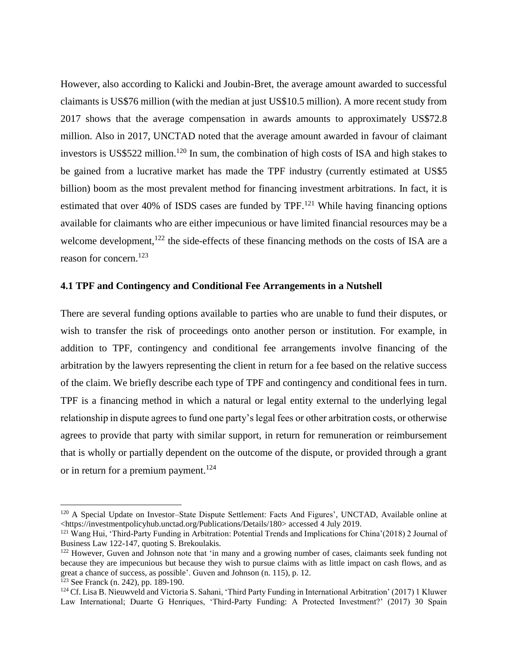However, also according to Kalicki and Joubin-Bret, the average amount awarded to successful claimants is US\$76 million (with the median at just US\$10.5 million). A more recent study from 2017 shows that the average compensation in awards amounts to approximately US\$72.8 million. Also in 2017, UNCTAD noted that the average amount awarded in favour of claimant investors is US\$522 million.<sup>120</sup> In sum, the combination of high costs of ISA and high stakes to be gained from a lucrative market has made the TPF industry (currently estimated at US\$5 billion) boom as the most prevalent method for financing investment arbitrations. In fact, it is estimated that over 40% of ISDS cases are funded by TPF.<sup>121</sup> While having financing options available for claimants who are either impecunious or have limited financial resources may be a welcome development, $^{122}$  the side-effects of these financing methods on the costs of ISA are a reason for concern.<sup>123</sup>

#### **4.1 TPF and Contingency and Conditional Fee Arrangements in a Nutshell**

There are several funding options available to parties who are unable to fund their disputes, or wish to transfer the risk of proceedings onto another person or institution. For example, in addition to TPF, contingency and conditional fee arrangements involve financing of the arbitration by the lawyers representing the client in return for a fee based on the relative success of the claim. We briefly describe each type of TPF and contingency and conditional fees in turn. TPF is a financing method in which a natural or legal entity external to the underlying legal relationship in dispute agrees to fund one party's legal fees or other arbitration costs, or otherwise agrees to provide that party with similar support, in return for remuneration or reimbursement that is wholly or partially dependent on the outcome of the dispute, or provided through a grant or in return for a premium payment.<sup>124</sup>

<span id="page-28-0"></span><sup>&</sup>lt;sup>120</sup> A Special Update on Investor–State Dispute Settlement: Facts And Figures', UNCTAD, Available online at <https://investmentpolicyhub.unctad.org/Publications/Details/180> accessed 4 July 2019.

<sup>121</sup> Wang Hui, 'Third-Party Funding in Arbitration: Potential Trends and Implications for China'(2018) 2 Journal of Business Law 122-147, quoting S. Brekoulakis.

<sup>&</sup>lt;sup>122</sup> However, Guven and Johnson note that 'in many and a growing number of cases, claimants seek funding not because they are impecunious but because they wish to pursue claims with as little impact on cash flows, and as great a chance of success, as possible'. Guven and Johnson (n. 115), p. 12.

 $123$  See Franck (n. [242](#page-6-0)), pp. 189-190.

<sup>&</sup>lt;sup>124</sup> Cf. Lisa B. Nieuwveld and Victoria S. Sahani, 'Third Party Funding in International Arbitration' (2017) 1 Kluwer Law International; Duarte G Henriques, 'Third-Party Funding: A Protected Investment?' (2017) 30 Spain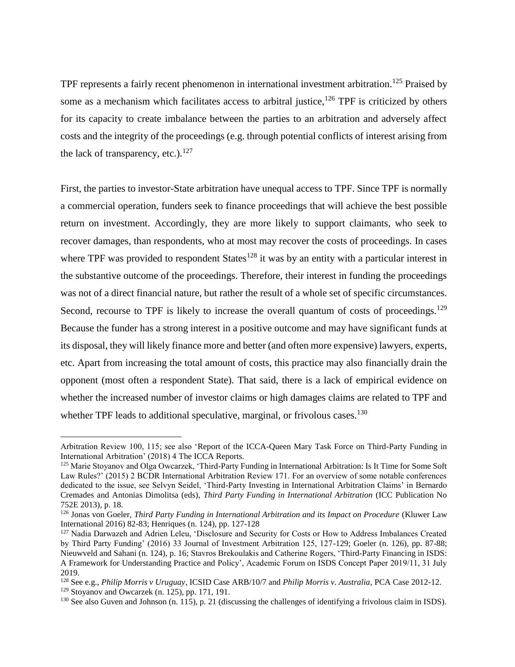<span id="page-29-1"></span><span id="page-29-0"></span>TPF represents a fairly recent phenomenon in international investment arbitration.<sup>125</sup> Praised by some as a mechanism which facilitates access to arbitral justice,<sup>126</sup> TPF is criticized by others for its capacity to create imbalance between the parties to an arbitration and adversely affect costs and the integrity of the proceedings (e.g. through potential conflicts of interest arising from the lack of transparency, etc.). $127$ 

First, the parties to investor-State arbitration have unequal access to TPF. Since TPF is normally a commercial operation, funders seek to finance proceedings that will achieve the best possible return on investment. Accordingly, they are more likely to support claimants, who seek to recover damages, than respondents, who at most may recover the costs of proceedings. In cases where TPF was provided to respondent States<sup>128</sup> it was by an entity with a particular interest in the substantive outcome of the proceedings. Therefore, their interest in funding the proceedings was not of a direct financial nature, but rather the result of a whole set of specific circumstances. Second, recourse to TPF is likely to increase the overall quantum of costs of proceedings.<sup>129</sup> Because the funder has a strong interest in a positive outcome and may have significant funds at its disposal, they will likely finance more and better (and often more expensive) lawyers, experts, etc. Apart from increasing the total amount of costs, this practice may also financially drain the opponent (most often a respondent State). That said, there is a lack of empirical evidence on whether the increased number of investor claims or high damages claims are related to TPF and whether TPF leads to additional speculative, marginal, or frivolous cases.<sup>130</sup>

Arbitration Review 100, 115; see also 'Report of the ICCA-Queen Mary Task Force on Third-Party Funding in International Arbitration' (2018) 4 The ICCA Reports.

<sup>&</sup>lt;sup>125</sup> Marie Stoyanov and Olga Owcarzek, 'Third-Party Funding in International Arbitration: Is It Time for Some Soft Law Rules?' (2015) 2 BCDR International Arbitration Review 171. For an overview of some notable conferences dedicated to the issue, see Selvyn Seidel, 'Third-Party Investing in International Arbitration Claims' in Bernardo Cremades and Antonias Dimolitsa (eds), *Third Party Funding in International Arbitration* (ICC Publication No 752E 2013), p. 18.

<sup>126</sup> Jonas von Goeler, *Third Party Funding in International Arbitration and its Impact on Procedure* (Kluwer Law International 2016) 82-83; Henriques (n. [124\)](#page-28-0), pp. 127-128

<sup>&</sup>lt;sup>127</sup> Nadia Darwazeh and Adrien Leleu, 'Disclosure and Security for Costs or How to Address Imbalances Created by Third Party Funding' (2016) 33 Journal of Investment Arbitration 125, 127-129; Goeler (n. [126\)](#page-29-0), pp. 87-88; Nieuwveld and Sahani (n. [124\)](#page-28-0), p. 16; Stavros Brekoulakis and Catherine Rogers, 'Third-Party Financing in ISDS: A Framework for Understanding Practice and Policy', Academic Forum on ISDS Concept Paper 2019/11, 31 July 2019.

<sup>128</sup> See e.g., *Philip Morris v Uruguay*, ICSID Case ARB/10/7 and *Philip Morris v. Australia*, PCA Case 2012-12.

<sup>129</sup> Stoyanov and Owcarzek (n. [125\)](#page-29-1), pp. 171, 191.

 $130$  See also Guven and Johnson (n. 115), p. 21 (discussing the challenges of identifying a frivolous claim in ISDS).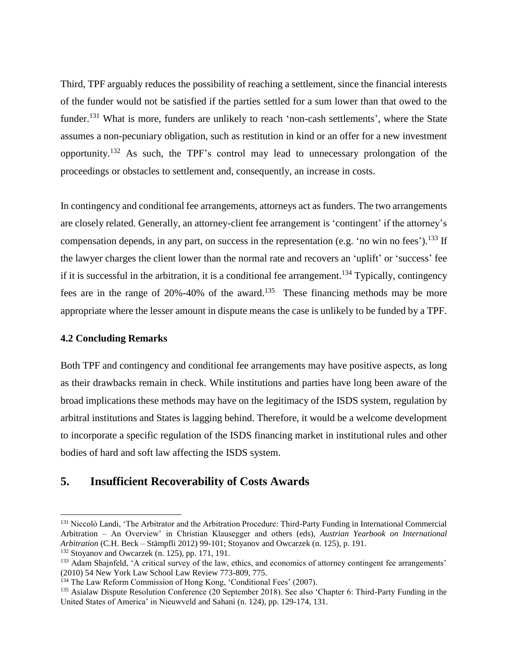Third, TPF arguably reduces the possibility of reaching a settlement, since the financial interests of the funder would not be satisfied if the parties settled for a sum lower than that owed to the funder.<sup>131</sup> What is more, funders are unlikely to reach 'non-cash settlements', where the State assumes a non-pecuniary obligation, such as restitution in kind or an offer for a new investment opportunity.<sup>132</sup> As such, the TPF's control may lead to unnecessary prolongation of the proceedings or obstacles to settlement and, consequently, an increase in costs.

In contingency and conditional fee arrangements, attorneys act as funders. The two arrangements are closely related. Generally, an attorney-client fee arrangement is 'contingent' if the attorney's compensation depends, in any part, on success in the representation (e.g. 'no win no fees').<sup>133</sup> If the lawyer charges the client lower than the normal rate and recovers an 'uplift' or 'success' fee if it is successful in the arbitration, it is a conditional fee arrangement.<sup>134</sup> Typically, contingency fees are in the range of  $20\% -40\%$  of the award.<sup>135</sup> These financing methods may be more appropriate where the lesser amount in dispute means the case is unlikely to be funded by a TPF.

#### **4.2 Concluding Remarks**

 $\overline{a}$ 

Both TPF and contingency and conditional fee arrangements may have positive aspects, as long as their drawbacks remain in check. While institutions and parties have long been aware of the broad implications these methods may have on the legitimacy of the ISDS system, regulation by arbitral institutions and States is lagging behind. Therefore, it would be a welcome development to incorporate a specific regulation of the ISDS financing market in institutional rules and other bodies of hard and soft law affecting the ISDS system.

# **5. Insufficient Recoverability of Costs Awards**

<sup>&</sup>lt;sup>131</sup> Niccolò Landi, 'The Arbitrator and the Arbitration Procedure: Third-Party Funding in International Commercial Arbitration – An Overview' in Christian Klausegger and others (eds), *Austrian Yearbook on International Arbitration* (C.H. Beck – Stämpfli 2012) 99-101; Stoyanov and Owcarzek (n. [125\)](#page-29-1), p. 191.

 $132$  Stoyanov and Owcarzek (n. [125\)](#page-29-1), pp. 171, 191.

<sup>&</sup>lt;sup>133</sup> Adam Shajnfeld, 'A critical survey of the law, ethics, and economics of attorney contingent fee arrangements' (2010) 54 New York Law School Law Review 773-809, 775.

<sup>&</sup>lt;sup>134</sup> The Law Reform Commission of Hong Kong, 'Conditional Fees' (2007).

<sup>&</sup>lt;sup>135</sup> Asialaw Dispute Resolution Conference (20 September 2018). See also 'Chapter 6: Third-Party Funding in the United States of America' in Nieuwveld and Sahani (n. [124\)](#page-28-0), pp. 129-174, 131.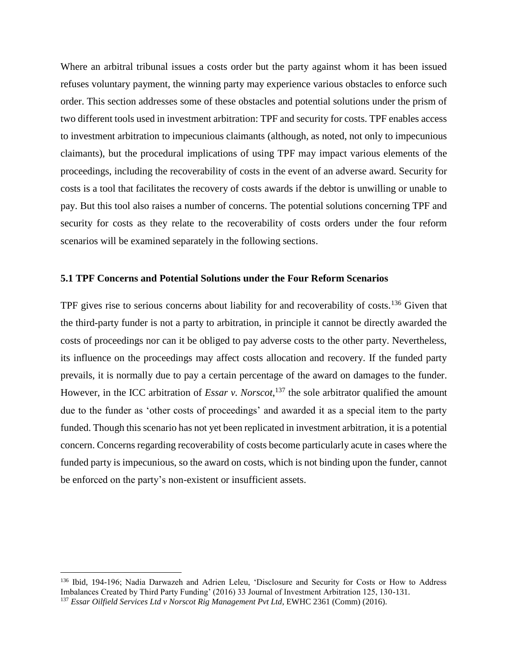Where an arbitral tribunal issues a costs order but the party against whom it has been issued refuses voluntary payment, the winning party may experience various obstacles to enforce such order. This section addresses some of these obstacles and potential solutions under the prism of two different tools used in investment arbitration: TPF and security for costs. TPF enables access to investment arbitration to impecunious claimants (although, as noted, not only to impecunious claimants), but the procedural implications of using TPF may impact various elements of the proceedings, including the recoverability of costs in the event of an adverse award. Security for costs is a tool that facilitates the recovery of costs awards if the debtor is unwilling or unable to pay. But this tool also raises a number of concerns. The potential solutions concerning TPF and security for costs as they relate to the recoverability of costs orders under the four reform scenarios will be examined separately in the following sections.

#### **5.1 TPF Concerns and Potential Solutions under the Four Reform Scenarios**

TPF gives rise to serious concerns about liability for and recoverability of costs.<sup>136</sup> Given that the third-party funder is not a party to arbitration, in principle it cannot be directly awarded the costs of proceedings nor can it be obliged to pay adverse costs to the other party. Nevertheless, its influence on the proceedings may affect costs allocation and recovery. If the funded party prevails, it is normally due to pay a certain percentage of the award on damages to the funder. However, in the ICC arbitration of *Essar v. Norscot*, <sup>137</sup> the sole arbitrator qualified the amount due to the funder as 'other costs of proceedings' and awarded it as a special item to the party funded. Though this scenario has not yet been replicated in investment arbitration, it is a potential concern. Concerns regarding recoverability of costs become particularly acute in cases where the funded party is impecunious, so the award on costs, which is not binding upon the funder, cannot be enforced on the party's non-existent or insufficient assets.

<sup>136</sup> Ibid, 194-196; Nadia Darwazeh and Adrien Leleu, 'Disclosure and Security for Costs or How to Address Imbalances Created by Third Party Funding' (2016) 33 Journal of Investment Arbitration 125, 130-131.

<sup>137</sup> *Essar Oilfield Services Ltd v Norscot Rig Management Pvt Ltd*, EWHC 2361 (Comm) (2016).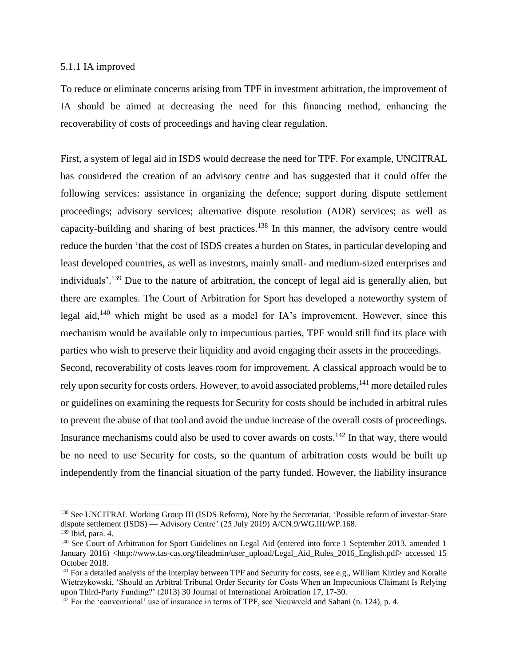#### 5.1.1 IA improved

To reduce or eliminate concerns arising from TPF in investment arbitration, the improvement of IA should be aimed at decreasing the need for this financing method, enhancing the recoverability of costs of proceedings and having clear regulation.

First, a system of legal aid in ISDS would decrease the need for TPF. For example, UNCITRAL has considered the creation of an advisory centre and has suggested that it could offer the following services: assistance in organizing the defence; support during dispute settlement proceedings; advisory services; alternative dispute resolution (ADR) services; as well as capacity-building and sharing of best practices.<sup>138</sup> In this manner, the advisory centre would reduce the burden 'that the cost of ISDS creates a burden on States, in particular developing and least developed countries, as well as investors, mainly small- and medium-sized enterprises and individuals'.<sup>139</sup> Due to the nature of arbitration, the concept of legal aid is generally alien, but there are examples. The Court of Arbitration for Sport has developed a noteworthy system of legal aid,<sup>140</sup> which might be used as a model for IA's improvement. However, since this mechanism would be available only to impecunious parties, TPF would still find its place with parties who wish to preserve their liquidity and avoid engaging their assets in the proceedings. Second, recoverability of costs leaves room for improvement. A classical approach would be to rely upon security for costs orders. However, to avoid associated problems, <sup>141</sup> more detailed rules or guidelines on examining the requests for Security for costs should be included in arbitral rules

to prevent the abuse of that tool and avoid the undue increase of the overall costs of proceedings. Insurance mechanisms could also be used to cover awards on costs.<sup>142</sup> In that way, there would be no need to use Security for costs, so the quantum of arbitration costs would be built up independently from the financial situation of the party funded. However, the liability insurance

<sup>&</sup>lt;sup>138</sup> See UNCITRAL Working Group III (ISDS Reform), Note by the Secretariat, 'Possible reform of investor-State dispute settlement (ISDS) — Advisory Centre' (25 July 2019) A/CN.9/WG.III/WP.168.

<sup>139</sup> Ibid, para. 4.

<sup>&</sup>lt;sup>140</sup> See Court of Arbitration for Sport Guidelines on Legal Aid (entered into force 1 September 2013, amended 1 January 2016) <http://www.tas-cas.org/fileadmin/user\_upload/Legal\_Aid\_Rules\_2016\_English.pdf> accessed 15 October 2018.

<sup>&</sup>lt;sup>141</sup> For a detailed analysis of the interplay between TPF and Security for costs, see e.g., William Kirtley and Koralie Wietrzykowski, 'Should an Arbitral Tribunal Order Security for Costs When an Impecunious Claimant Is Relying upon Third-Party Funding?' (2013) 30 Journal of International Arbitration 17, 17-30.

 $142$  For the 'conventional' use of insurance in terms of TPF, see Nieuwveld and Sahani (n. [124\)](#page-28-0), p. 4.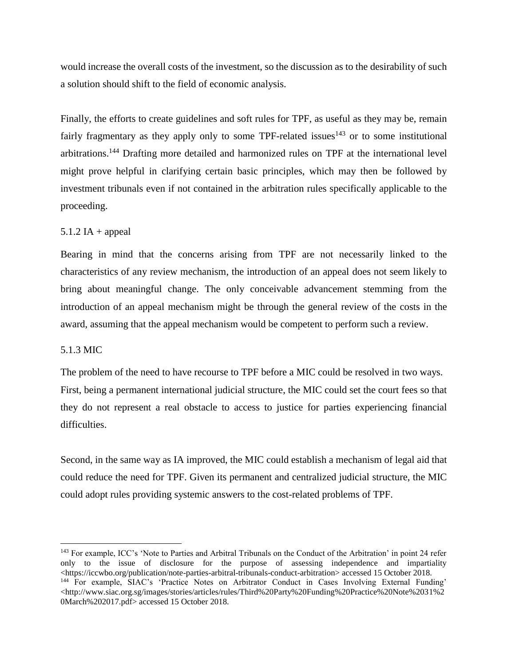would increase the overall costs of the investment, so the discussion as to the desirability of such a solution should shift to the field of economic analysis.

Finally, the efforts to create guidelines and soft rules for TPF, as useful as they may be, remain fairly fragmentary as they apply only to some TPF-related issues<sup>143</sup> or to some institutional arbitrations.<sup>144</sup> Drafting more detailed and harmonized rules on TPF at the international level might prove helpful in clarifying certain basic principles, which may then be followed by investment tribunals even if not contained in the arbitration rules specifically applicable to the proceeding.

## $5.1.2$  IA + appeal

Bearing in mind that the concerns arising from TPF are not necessarily linked to the characteristics of any review mechanism, the introduction of an appeal does not seem likely to bring about meaningful change. The only conceivable advancement stemming from the introduction of an appeal mechanism might be through the general review of the costs in the award, assuming that the appeal mechanism would be competent to perform such a review.

#### 5.1.3 MIC

 $\overline{a}$ 

The problem of the need to have recourse to TPF before a MIC could be resolved in two ways. First, being a permanent international judicial structure, the MIC could set the court fees so that they do not represent a real obstacle to access to justice for parties experiencing financial difficulties.

Second, in the same way as IA improved, the MIC could establish a mechanism of legal aid that could reduce the need for TPF. Given its permanent and centralized judicial structure, the MIC could adopt rules providing systemic answers to the cost-related problems of TPF.

<sup>&</sup>lt;sup>143</sup> For example, ICC's 'Note to Parties and Arbitral Tribunals on the Conduct of the Arbitration' in point 24 refer only to the issue of disclosure for the purpose of assessing independence and impartiality <https://iccwbo.org/publication/note-parties-arbitral-tribunals-conduct-arbitration> accessed 15 October 2018. <sup>144</sup> For example, SIAC's 'Practice Notes on Arbitrator Conduct in Cases Involving External Funding' <http://www.siac.org.sg/images/stories/articles/rules/Third%20Party%20Funding%20Practice%20Note%2031%2 0March%202017.pdf> accessed 15 October 2018.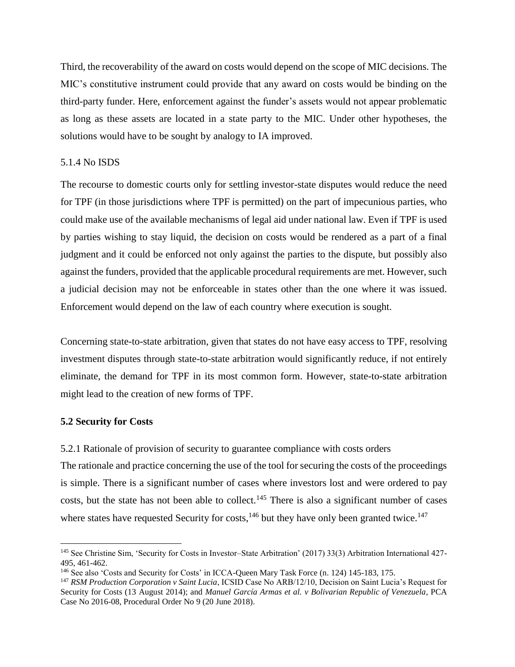Third, the recoverability of the award on costs would depend on the scope of MIC decisions. The MIC's constitutive instrument could provide that any award on costs would be binding on the third-party funder. Here, enforcement against the funder's assets would not appear problematic as long as these assets are located in a state party to the MIC. Under other hypotheses, the solutions would have to be sought by analogy to IA improved.

#### 5.1.4 No ISDS

The recourse to domestic courts only for settling investor-state disputes would reduce the need for TPF (in those jurisdictions where TPF is permitted) on the part of impecunious parties, who could make use of the available mechanisms of legal aid under national law. Even if TPF is used by parties wishing to stay liquid, the decision on costs would be rendered as a part of a final judgment and it could be enforced not only against the parties to the dispute, but possibly also against the funders, provided that the applicable procedural requirements are met. However, such a judicial decision may not be enforceable in states other than the one where it was issued. Enforcement would depend on the law of each country where execution is sought.

Concerning state-to-state arbitration, given that states do not have easy access to TPF, resolving investment disputes through state-to-state arbitration would significantly reduce, if not entirely eliminate, the demand for TPF in its most common form. However, state-to-state arbitration might lead to the creation of new forms of TPF.

#### **5.2 Security for Costs**

<span id="page-34-0"></span> $\overline{a}$ 

5.2.1 Rationale of provision of security to guarantee compliance with costs orders The rationale and practice concerning the use of the tool for securing the costs of the proceedings is simple. There is a significant number of cases where investors lost and were ordered to pay costs, but the state has not been able to collect.<sup>145</sup> There is also a significant number of cases where states have requested Security for costs,  $146$  but they have only been granted twice.  $147$ 

<sup>145</sup> See Christine Sim, 'Security for Costs in Investor–State Arbitration' (2017) 33(3) Arbitration International 427- 495, 461-462.

<sup>146</sup> See also 'Costs and Security for Costs' in ICCA-Queen Mary Task Force (n. [124\)](#page-28-0) 145-183, 175.

<sup>147</sup> *RSM Production Corporation v Saint Lucia*, ICSID Case No ARB/12/10, Decision on Saint Lucia's Request for Security for Costs (13 August 2014); and *Manuel García Armas et al. v Bolivarian Republic of Venezuela*, PCA Case No 2016-08, Procedural Order No 9 (20 June 2018).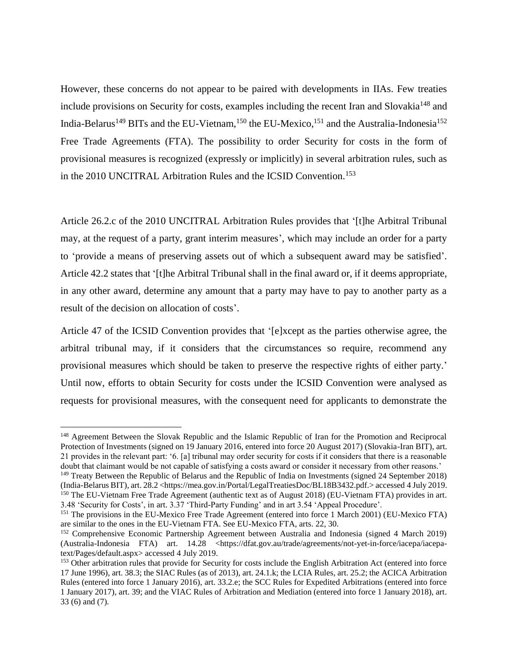However, these concerns do not appear to be paired with developments in IIAs. Few treaties include provisions on Security for costs, examples including the recent Iran and Slovakia<sup>148</sup> and India-Belarus<sup>149</sup> BITs and the EU-Vietnam,  $^{150}$  the EU-Mexico,  $^{151}$  and the Australia-Indonesia<sup>152</sup> Free Trade Agreements (FTA). The possibility to order Security for costs in the form of provisional measures is recognized (expressly or implicitly) in several arbitration rules, such as in the 2010 UNCITRAL Arbitration Rules and the ICSID Convention.<sup>153</sup>

Article 26.2.c of the 2010 UNCITRAL Arbitration Rules provides that '[t]he Arbitral Tribunal may, at the request of a party, grant interim measures', which may include an order for a party to 'provide a means of preserving assets out of which a subsequent award may be satisfied'. Article 42.2 states that '[t]he Arbitral Tribunal shall in the final award or, if it deems appropriate, in any other award, determine any amount that a party may have to pay to another party as a result of the decision on allocation of costs'.

Article 47 of the ICSID Convention provides that '[e]xcept as the parties otherwise agree, the arbitral tribunal may, if it considers that the circumstances so require, recommend any provisional measures which should be taken to preserve the respective rights of either party.' Until now, efforts to obtain Security for costs under the ICSID Convention were analysed as requests for provisional measures, with the consequent need for applicants to demonstrate the

<sup>&</sup>lt;sup>148</sup> Agreement Between the Slovak Republic and the Islamic Republic of Iran for the Promotion and Reciprocal Protection of Investments (signed on 19 January 2016, entered into force 20 August 2017) (Slovakia-Iran BIT), art. 21 provides in the relevant part: '6. [a] tribunal may order security for costs if it considers that there is a reasonable doubt that claimant would be not capable of satisfying a costs award or consider it necessary from other reasons.'

<sup>&</sup>lt;sup>149</sup> Treaty Between the Republic of Belarus and the Republic of India on Investments (signed 24 September 2018) (India-Belarus BIT), art. 28.2 <https://mea.gov.in/Portal/LegalTreatiesDoc/BL18B3432.pdf.> accessed 4 July 2019. <sup>150</sup> The EU-Vietnam Free Trade Agreement (authentic text as of August 2018) (EU-Vietnam FTA) provides in art. 3.48 'Security for Costs', in art. 3.37 'Third-Party Funding' and in art 3.54 'Appeal Procedure'.

<sup>&</sup>lt;sup>151</sup> The provisions in the EU-Mexico Free Trade Agreement (entered into force 1 March 2001) (EU-Mexico FTA) are similar to the ones in the EU-Vietnam FTA. See EU-Mexico FTA, arts. 22, 30.

<sup>152</sup> Comprehensive Economic Partnership Agreement between Australia and Indonesia (signed 4 March 2019) (Australia-Indonesia FTA) art. 14.28 <https://dfat.gov.au/trade/agreements/not-yet-in-force/iacepa/iacepatext/Pages/default.aspx> accessed 4 July 2019.

<sup>&</sup>lt;sup>153</sup> Other arbitration rules that provide for Security for costs include the English Arbitration Act (entered into force 17 June 1996), art. 38.3; the SIAC Rules (as of 2013), art. 24.1.k; the LCIA Rules, art. 25.2; the ACICA Arbitration Rules (entered into force 1 January 2016), art. 33.2.e; the SCC Rules for Expedited Arbitrations (entered into force 1 January 2017), art. 39; and the VIAC Rules of Arbitration and Mediation (entered into force 1 January 2018), art. 33 (6) and (7).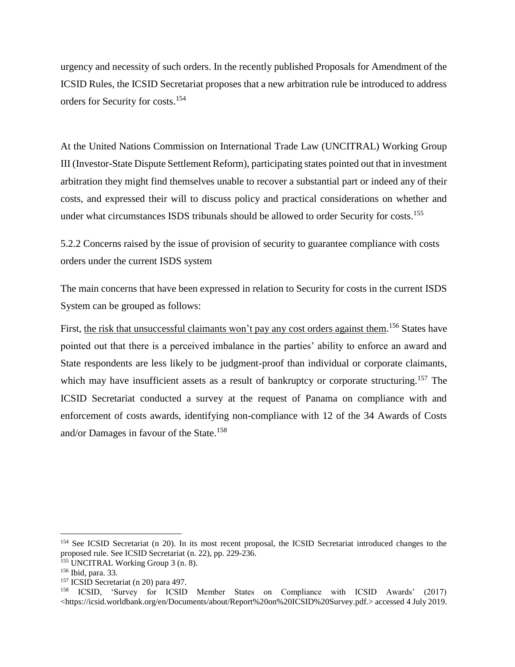urgency and necessity of such orders. In the recently published Proposals for Amendment of the ICSID Rules, the ICSID Secretariat proposes that a new arbitration rule be introduced to address orders for Security for costs. 154

At the United Nations Commission on International Trade Law (UNCITRAL) Working Group III (Investor-State Dispute Settlement Reform), participating states pointed out that in investment arbitration they might find themselves unable to recover a substantial part or indeed any of their costs, and expressed their will to discuss policy and practical considerations on whether and under what circumstances ISDS tribunals should be allowed to order Security for costs. 155

5.2.2 Concerns raised by the issue of provision of security to guarantee compliance with costs orders under the current ISDS system

The main concerns that have been expressed in relation to Security for costs in the current ISDS System can be grouped as follows:

First, the risk that unsuccessful claimants won't pay any cost orders against them.<sup>156</sup> States have pointed out that there is a perceived imbalance in the parties' ability to enforce an award and State respondents are less likely to be judgment-proof than individual or corporate claimants, which may have insufficient assets as a result of bankruptcy or corporate structuring.<sup>157</sup> The ICSID Secretariat conducted a survey at the request of Panama on compliance with and enforcement of costs awards, identifying non-compliance with 12 of the 34 Awards of Costs and/or Damages in favour of the State.<sup>158</sup>

<sup>&</sup>lt;sup>154</sup> See ICSID Secretariat (n [20\)](#page-6-3). In its most recent proposal, the ICSID Secretariat introduced changes to the proposed rule. See ICSID Secretariat (n. [22\)](#page-6-1), pp. 229-236.

<sup>155</sup> UNCITRAL Working Group 3 (n. [8\)](#page-3-0).

<sup>156</sup> Ibid, para. 33.

<sup>157</sup> ICSID Secretariat (n [20\)](#page-6-3) para 497.

<sup>158</sup> ICSID, 'Survey for ICSID Member States on Compliance with ICSID Awards' (2017) <https://icsid.worldbank.org/en/Documents/about/Report%20on%20ICSID%20Survey.pdf.> accessed 4 July 2019.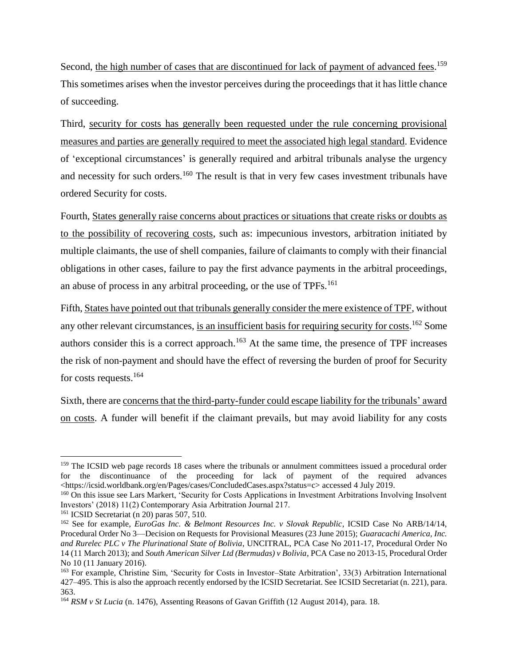Second, the high number of cases that are discontinued for lack of payment of advanced fees.<sup>159</sup> This sometimes arises when the investor perceives during the proceedings that it has little chance of succeeding.

Third, security for costs has generally been requested under the rule concerning provisional measures and parties are generally required to meet the associated high legal standard. Evidence of 'exceptional circumstances' is generally required and arbitral tribunals analyse the urgency and necessity for such orders.<sup>160</sup> The result is that in very few cases investment tribunals have ordered Security for costs.

Fourth, States generally raise concerns about practices or situations that create risks or doubts as to the possibility of recovering costs, such as: impecunious investors, arbitration initiated by multiple claimants, the use of shell companies, failure of claimants to comply with their financial obligations in other cases, failure to pay the first advance payments in the arbitral proceedings, an abuse of process in any arbitral proceeding, or the use of TPFs.<sup>161</sup>

Fifth, States have pointed out that tribunals generally consider the mere existence of TPF, without any other relevant circumstances, is an insufficient basis for requiring security for costs.<sup>162</sup> Some authors consider this is a correct approach.<sup>163</sup> At the same time, the presence of TPF increases the risk of non-payment and should have the effect of reversing the burden of proof for Security for costs requests.<sup>164</sup>

Sixth, there are concerns that the third-party-funder could escape liability for the tribunals' award on costs. A funder will benefit if the claimant prevails, but may avoid liability for any costs

<sup>&</sup>lt;sup>159</sup> The ICSID web page records 18 cases where the tribunals or annulment committees issued a procedural order for the discontinuance of the proceeding for lack of payment of the required advances <https://icsid.worldbank.org/en/Pages/cases/ConcludedCases.aspx?status=c> accessed 4 July 2019.

<sup>160</sup> On this issue see Lars Markert, 'Security for Costs Applications in Investment Arbitrations Involving Insolvent Investors' (2018) 11(2) Contemporary Asia Arbitration Journal 217.

<sup>161</sup> ICSID Secretariat (n [20\)](#page-6-3) paras 507, 510.

<sup>162</sup> See for example, *EuroGas Inc. & Belmont Resources Inc. v Slovak Republic*, ICSID Case No ARB/14/14, Procedural Order No 3—Decision on Requests for Provisional Measures (23 June 2015); *Guaracachi America, Inc. and Rurelec PLC v The Plurinational State of Bolivia*, UNCITRAL, PCA Case No 2011-17, Procedural Order No 14 (11 March 2013); and *South American Silver Ltd (Bermudas) v Bolivia*, PCA Case no 2013-15, Procedural Order No 10 (11 January 2016).

<sup>163</sup> For example, Christine Sim, 'Security for Costs in Investor–State Arbitration', 33(3) Arbitration International 427–495. This is also the approach recently endorsed by the ICSID Secretariat. See ICSID Secretariat (n. [221](#page-6-1)), para. 363.

<sup>164</sup> *RSM v St Lucia* (n. [1476](#page-34-0)), Assenting Reasons of Gavan Griffith (12 August 2014), para. 18.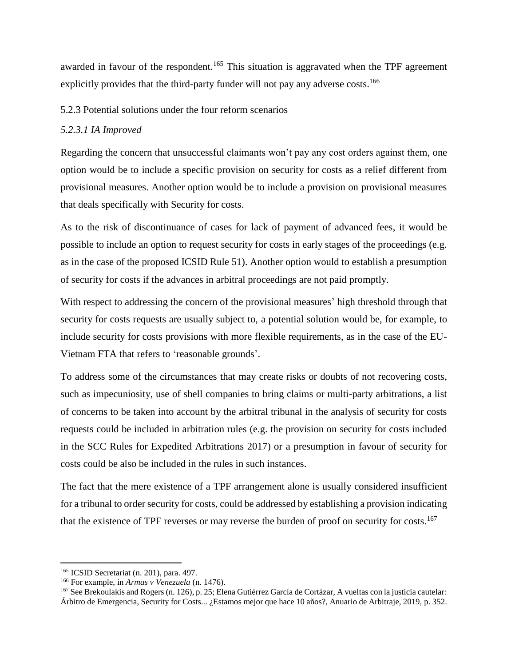awarded in favour of the respondent.<sup>165</sup> This situation is aggravated when the TPF agreement explicitly provides that the third-party funder will not pay any adverse costs.<sup>166</sup>

#### 5.2.3 Potential solutions under the four reform scenarios

#### *5.2.3.1 IA Improved*

Regarding the concern that unsuccessful claimants won't pay any cost orders against them, one option would be to include a specific provision on security for costs as a relief different from provisional measures. Another option would be to include a provision on provisional measures that deals specifically with Security for costs.

As to the risk of discontinuance of cases for lack of payment of advanced fees, it would be possible to include an option to request security for costs in early stages of the proceedings (e.g. as in the case of the proposed ICSID Rule 51). Another option would to establish a presumption of security for costs if the advances in arbitral proceedings are not paid promptly.

With respect to addressing the concern of the provisional measures' high threshold through that security for costs requests are usually subject to, a potential solution would be, for example, to include security for costs provisions with more flexible requirements, as in the case of the EU-Vietnam FTA that refers to 'reasonable grounds'.

To address some of the circumstances that may create risks or doubts of not recovering costs, such as impecuniosity, use of shell companies to bring claims or multi-party arbitrations, a list of concerns to be taken into account by the arbitral tribunal in the analysis of security for costs requests could be included in arbitration rules (e.g. the provision on security for costs included in the SCC Rules for Expedited Arbitrations 2017) or a presumption in favour of security for costs could be also be included in the rules in such instances.

The fact that the mere existence of a TPF arrangement alone is usually considered insufficient for a tribunal to order security for costs, could be addressed by establishing a provision indicating that the existence of TPF reverses or may reverse the burden of proof on security for costs.<sup>167</sup>

<sup>165</sup> ICSID Secretariat (n. [201](#page-6-3)), para. 497.

<sup>166</sup> For example, in *Armas v Venezuela* (n. [1476](#page-34-0)).

<sup>167</sup> See Brekoulakis and Rogers (n. 126), p. 25; Elena Gutiérrez García de Cortázar, A vueltas con la justicia cautelar: Árbitro de Emergencia, Security for Costs... ¿Estamos mejor que hace 10 años?, Anuario de Arbitraje, 2019, p. 352.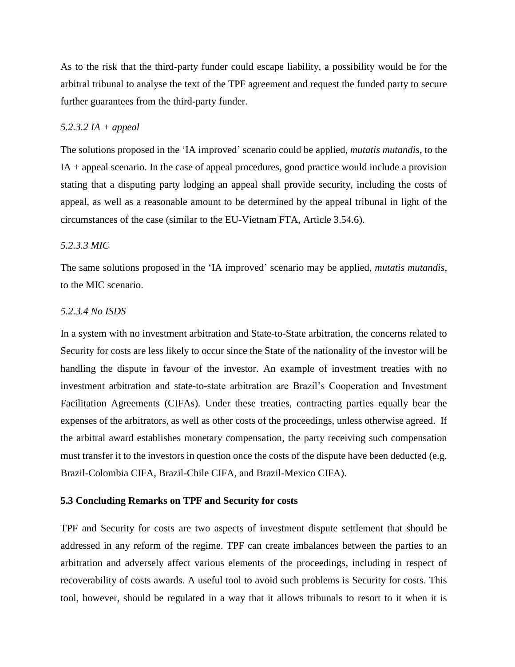As to the risk that the third-party funder could escape liability, a possibility would be for the arbitral tribunal to analyse the text of the TPF agreement and request the funded party to secure further guarantees from the third-party funder.

#### *5.2.3.2 IA + appeal*

The solutions proposed in the 'IA improved' scenario could be applied, *mutatis mutandis*, to the IA + appeal scenario. In the case of appeal procedures, good practice would include a provision stating that a disputing party lodging an appeal shall provide security, including the costs of appeal, as well as a reasonable amount to be determined by the appeal tribunal in light of the circumstances of the case (similar to the EU-Vietnam FTA, Article 3.54.6).

#### *5.2.3.3 MIC*

The same solutions proposed in the 'IA improved' scenario may be applied, *mutatis mutandis*, to the MIC scenario.

#### *5.2.3.4 No ISDS*

In a system with no investment arbitration and State-to-State arbitration, the concerns related to Security for costs are less likely to occur since the State of the nationality of the investor will be handling the dispute in favour of the investor. An example of investment treaties with no investment arbitration and state-to-state arbitration are Brazil's Cooperation and Investment Facilitation Agreements (CIFAs). Under these treaties, contracting parties equally bear the expenses of the arbitrators, as well as other costs of the proceedings, unless otherwise agreed. If the arbitral award establishes monetary compensation, the party receiving such compensation must transfer it to the investors in question once the costs of the dispute have been deducted (e.g. Brazil-Colombia CIFA, Brazil-Chile CIFA, and Brazil-Mexico CIFA).

#### **5.3 Concluding Remarks on TPF and Security for costs**

TPF and Security for costs are two aspects of investment dispute settlement that should be addressed in any reform of the regime. TPF can create imbalances between the parties to an arbitration and adversely affect various elements of the proceedings, including in respect of recoverability of costs awards. A useful tool to avoid such problems is Security for costs. This tool, however, should be regulated in a way that it allows tribunals to resort to it when it is